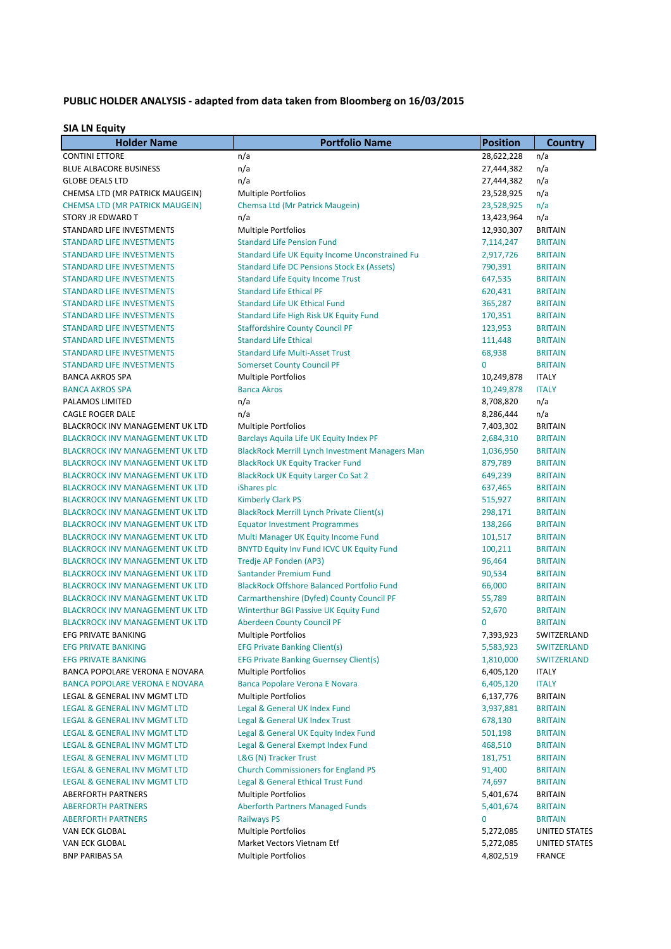## PUBLIC HOLDER ANALYSIS - adapted from data taken from Bloomberg on 16/03/2015

## **SIA LN Equity**

| <b>Holder Name</b>                                                      | <b>Portfolio Name</b>                                               | <b>Position</b>     | <b>Country</b>                   |
|-------------------------------------------------------------------------|---------------------------------------------------------------------|---------------------|----------------------------------|
| <b>CONTINI ETTORE</b>                                                   | n/a                                                                 | 28,622,228          | n/a                              |
| <b>BLUE ALBACORE BUSINESS</b>                                           | n/a                                                                 | 27,444,382          | n/a                              |
| <b>GLOBE DEALS LTD</b>                                                  | n/a                                                                 | 27,444,382          | n/a                              |
| CHEMSA LTD (MR PATRICK MAUGEIN)                                         | <b>Multiple Portfolios</b>                                          | 23,528,925          | n/a                              |
| <b>CHEMSA LTD (MR PATRICK MAUGEIN)</b>                                  | Chemsa Ltd (Mr Patrick Maugein)                                     | 23,528,925          | n/a                              |
| STORY JR EDWARD T                                                       | n/a                                                                 | 13,423,964          | n/a                              |
| STANDARD LIFE INVESTMENTS                                               | <b>Multiple Portfolios</b>                                          | 12,930,307          | <b>BRITAIN</b>                   |
| <b>STANDARD LIFE INVESTMENTS</b>                                        | <b>Standard Life Pension Fund</b>                                   | 7,114,247           | <b>BRITAIN</b>                   |
| <b>STANDARD LIFE INVESTMENTS</b>                                        | <b>Standard Life UK Equity Income Unconstrained Fu</b>              | 2,917,726           | <b>BRITAIN</b>                   |
| <b>STANDARD LIFE INVESTMENTS</b>                                        | <b>Standard Life DC Pensions Stock Ex (Assets)</b>                  | 790,391             | <b>BRITAIN</b>                   |
| <b>STANDARD LIFE INVESTMENTS</b>                                        | <b>Standard Life Equity Income Trust</b>                            | 647,535             | <b>BRITAIN</b>                   |
| <b>STANDARD LIFE INVESTMENTS</b>                                        | <b>Standard Life Ethical PF</b>                                     | 620,431             | <b>BRITAIN</b>                   |
| <b>STANDARD LIFE INVESTMENTS</b>                                        | <b>Standard Life UK Ethical Fund</b>                                | 365,287             | <b>BRITAIN</b>                   |
| <b>STANDARD LIFE INVESTMENTS</b>                                        | Standard Life High Risk UK Equity Fund                              | 170,351             | <b>BRITAIN</b>                   |
| <b>STANDARD LIFE INVESTMENTS</b>                                        | <b>Staffordshire County Council PF</b>                              | 123,953             | <b>BRITAIN</b>                   |
| <b>STANDARD LIFE INVESTMENTS</b>                                        | <b>Standard Life Ethical</b>                                        | 111,448             | <b>BRITAIN</b>                   |
| <b>STANDARD LIFE INVESTMENTS</b>                                        | <b>Standard Life Multi-Asset Trust</b>                              | 68,938              | <b>BRITAIN</b>                   |
| <b>STANDARD LIFE INVESTMENTS</b>                                        | <b>Somerset County Council PF</b>                                   | $\mathbf{0}$        | <b>BRITAIN</b>                   |
| <b>BANCA AKROS SPA</b>                                                  | <b>Multiple Portfolios</b>                                          | 10,249,878          | <b>ITALY</b>                     |
| <b>BANCA AKROS SPA</b>                                                  | <b>Banca Akros</b>                                                  | 10,249,878          | <b>ITALY</b>                     |
| PALAMOS LIMITED                                                         | n/a                                                                 | 8,708,820           | n/a                              |
| <b>CAGLE ROGER DALE</b>                                                 | n/a                                                                 | 8,286,444           | n/a                              |
| <b>BLACKROCK INV MANAGEMENT UK LTD</b>                                  | <b>Multiple Portfolios</b>                                          | 7,403,302           | <b>BRITAIN</b>                   |
| <b>BLACKROCK INV MANAGEMENT UK LTD</b>                                  | Barclays Aquila Life UK Equity Index PF                             | 2,684,310           | <b>BRITAIN</b>                   |
| <b>BLACKROCK INV MANAGEMENT UK LTD</b>                                  | <b>BlackRock Merrill Lynch Investment Managers Man</b>              | 1,036,950           | <b>BRITAIN</b>                   |
| <b>BLACKROCK INV MANAGEMENT UK LTD</b>                                  | <b>BlackRock UK Equity Tracker Fund</b>                             | 879,789             | <b>BRITAIN</b>                   |
| <b>BLACKROCK INV MANAGEMENT UK LTD</b>                                  | <b>BlackRock UK Equity Larger Co Sat 2</b>                          | 649,239             | <b>BRITAIN</b>                   |
| <b>BLACKROCK INV MANAGEMENT UK LTD</b>                                  | iShares plc                                                         | 637,465             | <b>BRITAIN</b>                   |
| <b>BLACKROCK INV MANAGEMENT UK LTD</b>                                  | <b>Kimberly Clark PS</b>                                            | 515,927             | <b>BRITAIN</b>                   |
| <b>BLACKROCK INV MANAGEMENT UK LTD</b>                                  | <b>BlackRock Merrill Lynch Private Client(s)</b>                    | 298,171             | <b>BRITAIN</b>                   |
| <b>BLACKROCK INV MANAGEMENT UK LTD</b>                                  | <b>Equator Investment Programmes</b>                                | 138,266             | <b>BRITAIN</b>                   |
| <b>BLACKROCK INV MANAGEMENT UK LTD</b>                                  | Multi Manager UK Equity Income Fund                                 | 101,517             | <b>BRITAIN</b>                   |
| <b>BLACKROCK INV MANAGEMENT UK LTD</b>                                  | <b>BNYTD Equity Inv Fund ICVC UK Equity Fund</b>                    | 100,211             | <b>BRITAIN</b>                   |
| <b>BLACKROCK INV MANAGEMENT UK LTD</b>                                  | Tredje AP Fonden (AP3)                                              | 96,464              | <b>BRITAIN</b>                   |
| <b>BLACKROCK INV MANAGEMENT UK LTD</b>                                  | Santander Premium Fund                                              | 90,534              | <b>BRITAIN</b>                   |
| <b>BLACKROCK INV MANAGEMENT UK LTD</b>                                  | <b>BlackRock Offshore Balanced Portfolio Fund</b>                   | 66,000              | <b>BRITAIN</b>                   |
| <b>BLACKROCK INV MANAGEMENT UK LTD</b>                                  | Carmarthenshire (Dyfed) County Council PF                           | 55,789              | <b>BRITAIN</b>                   |
| <b>BLACKROCK INV MANAGEMENT UK LTD</b>                                  | Winterthur BGI Passive UK Equity Fund                               | 52,670              | <b>BRITAIN</b>                   |
| <b>BLACKROCK INV MANAGEMENT UK LTD</b>                                  | <b>Aberdeen County Council PF</b>                                   | $\mathbf{0}$        | <b>BRITAIN</b>                   |
| EFG PRIVATE BANKING                                                     | <b>Multiple Portfolios</b>                                          | 7,393,923           | SWITZERLAND                      |
| <b>EFG PRIVATE BANKING</b>                                              | <b>EFG Private Banking Client(s)</b>                                | 5,583,923           | <b>SWITZERLAND</b>               |
| <b>EFG PRIVATE BANKING</b>                                              | <b>EFG Private Banking Guernsey Client(s)</b>                       | 1,810,000           | <b>SWITZERLAND</b>               |
| BANCA POPOLARE VERONA E NOVARA                                          | Multiple Portfolios                                                 | 6,405,120           | <b>ITALY</b>                     |
| <b>BANCA POPOLARE VERONA E NOVARA</b>                                   | Banca Popolare Verona E Novara                                      | 6,405,120           | <b>ITALY</b>                     |
| LEGAL & GENERAL INV MGMT LTD                                            | <b>Multiple Portfolios</b>                                          | 6,137,776           | <b>BRITAIN</b>                   |
| LEGAL & GENERAL INV MGMT LTD                                            | Legal & General UK Index Fund                                       | 3,937,881           | <b>BRITAIN</b>                   |
| LEGAL & GENERAL INV MGMT LTD                                            | Legal & General UK Index Trust                                      | 678,130             | <b>BRITAIN</b>                   |
| LEGAL & GENERAL INV MGMT LTD                                            | Legal & General UK Equity Index Fund                                | 501,198             | <b>BRITAIN</b>                   |
| LEGAL & GENERAL INV MGMT LTD                                            | Legal & General Exempt Index Fund                                   | 468,510             | <b>BRITAIN</b>                   |
| LEGAL & GENERAL INV MGMT LTD<br><b>LEGAL &amp; GENERAL INV MGMT LTD</b> | L&G (N) Tracker Trust<br><b>Church Commissioners for England PS</b> | 181,751             | <b>BRITAIN</b>                   |
| <b>LEGAL &amp; GENERAL INV MGMT LTD</b>                                 |                                                                     | 91,400              | <b>BRITAIN</b><br><b>BRITAIN</b> |
| <b>ABERFORTH PARTNERS</b>                                               | Legal & General Ethical Trust Fund<br><b>Multiple Portfolios</b>    | 74,697<br>5,401,674 | <b>BRITAIN</b>                   |
| <b>ABERFORTH PARTNERS</b>                                               | <b>Aberforth Partners Managed Funds</b>                             | 5,401,674           | <b>BRITAIN</b>                   |
| <b>ABERFORTH PARTNERS</b>                                               | <b>Railways PS</b>                                                  | $\mathbf{0}$        | <b>BRITAIN</b>                   |
| VAN ECK GLOBAL                                                          | <b>Multiple Portfolios</b>                                          | 5,272,085           | UNITED STATES                    |
| VAN ECK GLOBAL                                                          | Market Vectors Vietnam Etf                                          | 5,272,085           | UNITED STATES                    |
| <b>BNP PARIBAS SA</b>                                                   | <b>Multiple Portfolios</b>                                          | 4,802,519           | <b>FRANCE</b>                    |
|                                                                         |                                                                     |                     |                                  |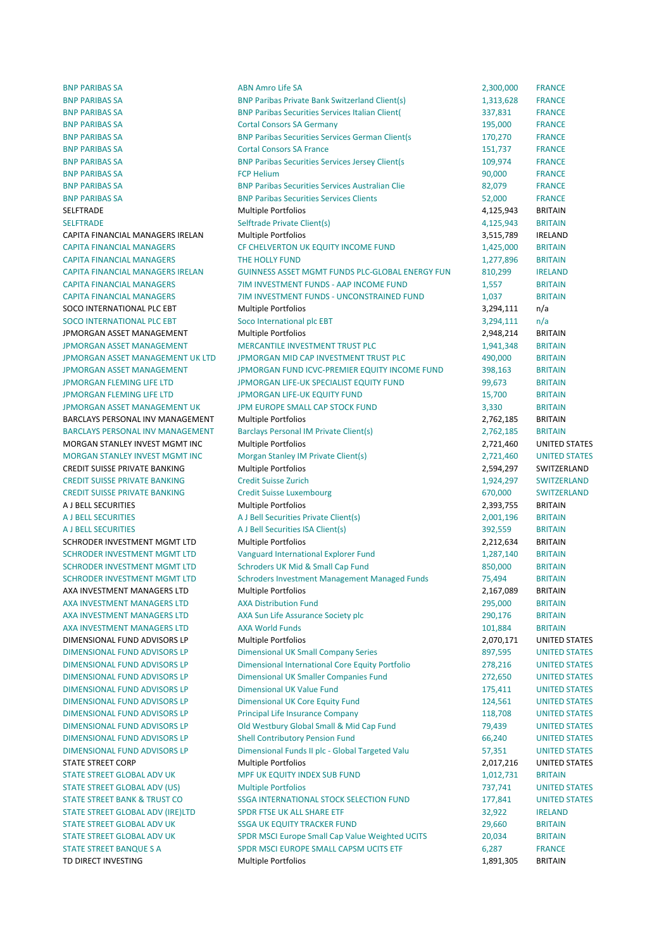BNP PARIBAS SA **BND AMRO** ABN Amro Life SA **ABN Amro Life SA** 2,300,000 FRANCE

BNP PARIBAS SA BNP Paribas Private Bank Switzerland Client(s) 1,313,628 FRANCE BNP PARIBAS SA BNP Paribas Securities Services Italian Client( 337,831 FRANCE **BNP PARIBAS SA CORTAL CONSORS SA Germany 195,000 FRANCE** BNP PARIBAS SA **BNP Paribas Securities Services German Client**(s 170,270 FRANCE **BNP PARIBAS SA CORTAGE CONSORS SA FRANCE CONSORS SA FRANCE CONSORS SA FRANCE** BNP PARIBAS SA BNP Paribas Securities Services Jersey Client(s 109,974 FRANCE BNP PARIBAS SA FOR THE SAN FOR HELIUM CONTROL TO A RESEARCE THE SAN FRANCE SAN FRANCE BNP PARIBAS SA BNP Paribas Securities Services Australian Clie 82,079 FRANCE BNP PARIBAS SA **BNP Paribas Securities Services Clients** 52,000 FRANCE SELFTRADE Multiple 
 Portfolios 4,125,943 BRITAIN SELFTRADE SELFTRADE Selftrade Private Client(s) 4.125,943 BRITAIN CAPITA FINANCIAL MANAGERS IRELAN Multiple Portfolios and the state of the state of the state of the state of the state of the state of the state of the state of the state of the state of the state of the state of the state CAPITA FINANCIAL MANAGERS CF CHELVERTON UK EQUITY INCOME FUND 1,425,000 BRITAIN CAPITA FINANCIAL MANAGERS THE HOLLY FUND THE HOLLY AND THE HOLLY AND THE HOLLY AND THE HOLLY FUND THE HOLLY FUND CAPITA FINANCIAL MANAGERS IRELAN GUINNESS ASSET MGMT FUNDS PLC-GLOBAL ENERGY FUN 810.299 IRELAND CAPITA FINANCIAL MANAGERS **1,557** BRITAIN CAPITA FINANCIAL MANAGERS **1,037** TIM INVESTMENT FUNDS - UNCONSTRAINED FUND 1,037 BRITAIN SOCO INTERNATIONAL PLC EBT Multiple Portfolios and a set of the state of the state of the state of the state of the state of the state of the state of the state of the state of the state of the state of the state of the st SOCO INTERNATIONAL PLC EBT Soco International plc EBT 3,294,111 n/a JPMORGAN ASSET MANAGEMENT Multiple Portfolios and a series of the contract of the BRITAIN IPMORGAN ASSET MANAGEMENT **MERCANTILE INVESTMENT TRUST PLC** 1941,348 BRITAIN JPMORGAN ASSET MANAGEMENT UK LTD JPMORGAN MID CAP INVESTMENT TRUST PLC 490,000 BRITAIN JPMORGAN ASSET MANAGEMENT JPMORGAN FUND ICVC-PREMIER EQUITY INCOME FUND 398,163 BRITAIN JPMORGAN LIFE LTD JPMORGAN LIFE-UK SPECIALIST EQUITY FUND 99,673 BRITAIN JPMORGAN FLEMING LIFE LTD JPMORGAN LIFE-UK EQUITY FUND 15,700 BRITAIN JPMORGAN ASSET MANAGEMENT UK THE UROPE SMALL CAP STOCK FUND 3,330 BRITAIN BARCLAYS PERSONAL INV MANAGEMENT Multiple Portfolios and a memory of the control of the 2,762,185 BRITAIN BARCLAYS PERSONAL INV MANAGEMENT Barclays Personal IM Private Client(s) 2,762,185 BRITAIN MORGAN STANLEY INVEST MGMT INC Multiple Portfolios and a state of the control of the control of the control of the control of the control of the control of the control of the control of the control of the control of the co MORGAN STANLEY INVEST MGMT INC Morgan Stanley IM Private Client(s) 2.721.460 UNITED STATES CREDIT SUISSE PRIVATE BANKING Multiple Portfolios and the state of the state of the ST-594,297 SWITZERLAND CREDIT SUISSE PRIVATE BANKING Credit Suisse Zurich 1,924,297 SWITZERLAND CREDIT SUISSE PRIVATE BANKING Credit Suisse Luxembourg 670,000 SWITZERLAND A J BELL SECURITIES **EXECURITIES SECURITIES Multiple Portfolios 2,393,755 BRITAIN** A J BELL SECURITIES **BRITAIN** A J Bell Securities Private Client(s) 2,001,196 BRITAIN A LIBELL SECURITIES CONTROL CONTROLLER A LIBELL SECURITIES ISA Client(s) 392,559 BRITAIN SCHRODER INVESTMENT MGMT LTD Multiple Portfolios and a series of the contract of the 2,212,634 BRITAIN SCHRODER INVESTMENT MGMT LTD Vanguard International Explorer Fund 1,287,140 BRITAIN SCHRODER INVESTMENT MGMT LTD Schroders UK Mid & Small Cap Fund 850,000 BRITAIN SCHRODER INVESTMENT MGMT LTD Schroders Investment Management Managed Funds 75,494 BRITAIN AXA INVESTMENT MANAGERS LTD Multiple Portfolios and a series of the control of the 2,167,089 BRITAIN AXA INVESTMENT MANAGERS LTD AXA Distribution Fund CONTROL 295,000 BRITAIN AXA INVESTMENT MANAGERS LTD AXA Sun Life Assurance Society plc 290,176 BRITAIN AXA INVESTMENT MANAGERS LTD AXA World Funds and the state of the state of the state of the BRITAIN DIMENSIONAL FUND ADVISORS LP Multiple Portfolios 2,070.171 UNITED STATES DIMENSIONAL FUND ADVISORS LP **Dimensional UK Small Company Series** 897,595 UNITED STATES DIMENSIONAL FUND ADVISORS LP Dimensional International Core Equity Portfolio 278,216 UNITED STATES DIMENSIONAL FUND ADVISORS LP **Dimensional UK Smaller Companies Fund** 272,650 UNITED STATES DIMENSIONAL FUND ADVISORS LP Dimensional UK Value Fund 175,411 UNITED STATES DIMENSIONAL FUND ADVISORS LP **Dimensional UK Core Equity Fund** 124,561 UNITED STATES DIMENSIONAL FUND ADVISORS LP Principal Life Insurance Company 118,708 UNITED STATES DIMENSIONAL FUND ADVISORS LP Old Westbury Global Small & Mid Cap Fund 79,439 UNITED STATES DIMENSIONAL FUND ADVISORS LP Shell Contributory Pension Fund 66,240 UNITED STATES DIMENSIONAL FUND ADVISORS LP Dimensional Funds II plc - Global Targeted Valu 57,351 UNITED STATES STATE STREET CORP COMPONE CONTROLLER CONTROLLER Multiple Portfolios CONTROLLER CONTROLLER CONTROLLER CONTROLLER STATE STREET GLOBAL ADV UK **MPF UK EQUITY INDEX SUB FUND** 1,012,731 BRITAIN STATE STREET GLOBAL ADV (US) Multiple Portfolios 737.741 UNITED STATES STATE STREET BANK & TRUST CO SSGA INTERNATIONAL STOCK SELECTION FUND 177,841 UNITED STATES STATE STREET GLOBAL ADV (IRE)LTD SPDR FTSE UK ALL SHARE ETF 32,922 IRELAND STATE STREET GLOBAL ADV UK SSGA UK EQUITY TRACKER FUND 29.660 BRITAIN STATE STREET GLOBAL ADV UK SPDR MSCI Europe Small Cap Value Weighted UCITS 20.034 BRITAIN STATE STREET BANQUE S A SPDR MSCI EUROPE SMALL CAPSM UCITS ETF 6,287 FRANCE TD DIRECT INVESTING 
TO DIRECT INVESTING 
TO DIRECT INVESTING 
TO DIRECT INVESTING 
TO A CONTAINMENT AND THE OUTLOT OF THE OUTLOT OF THE OUTLOT OF THE OUTLOT OF THE OUTLOT OF THE OUTLOT OF THE OUTLOT OF THE OUTLOT OF THE O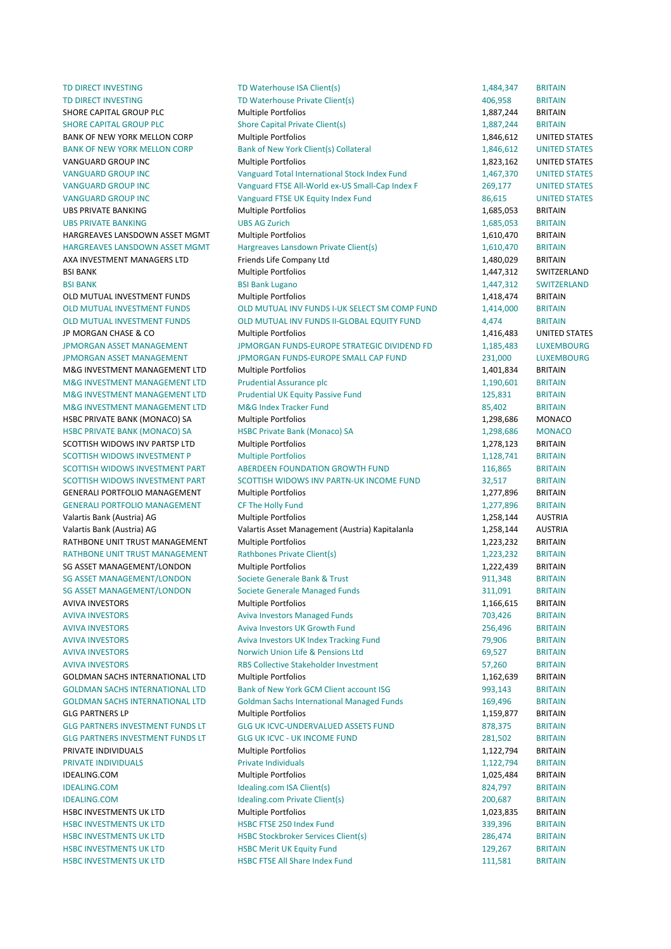TD DIRECT INVESTING TO Materhouse ISA Client(s) 1,484,347 BRITAIN TD DIRECT INVESTING TD Waterhouse Private Client(s) TD UNESS TO MEET ALL A 406,958 BRITAIN SHORE CAPITAL GROUP PLC **Multiple Portfolios CONTAINING CAPITAL CONTAINING CAPITAL ACTES CONTAINING CONTAINING CONTAINING CONTAINING CONTAINING CONTAINING CONTAINING CONTAINING CONTAINING CONTAINING CONTAINING CONTAINI** SHORE CAPITAL GROUP PLC Shore Capital Private Client(s) 1,887,244 BRITAIN BANK OF NEW YORK MELLON CORP Multiple Portfolios 1.846.612 UNITED STATES BANK OF NEW YORK MELLON CORP Bank of New York Client(s) Collateral 1,846,612 UNITED STATES VANGUARD GROUP INC **Multiple Portfolios** 1,823,162 UNITED STATES VANGUARD GROUP INC CHERO CONDUCTED STATES Vanguard Total International Stock Index Fund 1,467,370 UNITED STATES VANGUARD GROUP INC CONDUCT CONTROLLY CONTROLLY VANGUARD VANGUARD GROUP INCLUSION CONTROLLY VANGUARD ON VANTED STATES VANGUARD GROUP INC **STATES** Vanguard FTSE UK Equity Index Fund 86,615 UNITED STATES UBS 
 PRIVATE 
 BANKING Multiple 
 Portfolios 1,685,053 BRITAIN UBS PRIVATE BANKING THE SUBS AG Zurich The State of the State of the State of the State of the State of the State of the State of the State of the State of the State of the State of the State of the State of the State of t HARGREAVES LANSDOWN ASSET MGMT Multiple Portfolios and the material method of the 1,610,470 BRITAIN HARGREAVES LANSDOWN ASSET MGMT Hargreaves Lansdown Private Client(s) 1,610,470 BRITAIN AXA INVESTMENT MANAGERS LTD Friends Life Company Ltd 1,480,029 BRITAIN BSI 
 BANK Multiple 
 Portfolios 1,447,312 SWITZERLAND BSI BANK SERI BANK LUgano BSI BANK LUGANO BANG BANK LUGANO BANK LUGANO BANK LUGANO BANK LUGANO BANK LUGANO BANK LUGANO BANK LUGANO BANK LUGANO BANK LUGANO BANK LUGANO BANK LUGANO BANK LUGANO BANK LUGANO BANK LUGANO BANK LU OLD MUTUAL INVESTMENT FUNDS Multiple Portfolios and the matter of the matter of the matter of the matter of the matter of the matter of the matter of the matter of the matter of the matter of the matter of the matter of th OLD MUTUAL INVESTMENT FUNDS **OLD MUTUAL INV FUNDS I-UK SELECT SM COMP FUND** 1.414.000 BRITAIN OLD MUTUAL INVESTMENT FUNDS **OLD MUTUAL INV FUNDS II-GLOBAL EQUITY FUND** 4.474 BRITAIN JP MORGAN CHASE & CO **Multiple Portfolios 1.416.483** UNITED STATES **IPMORGAN ASSET MANAGEMENT COMPUTER A LUXEMBOURG CONTACT CONTACT A LUXEMBOURG CONTACT A LUXEMBOURG** JPMORGAN ASSET MANAGEMENT THE MANORGAN FUNDS-EUROPE SMALL CAP FUND THE 231,000 LUXEMBOURG M&G INVESTMENT MANAGEMENT LTD Multiple Portfolios and the management of the 1,401,834 BRITAIN M&G INVESTMENT MANAGEMENT LTD Prudential Assurance plc 1,190,601 BRITAIN M&G INVESTMENT MANAGEMENT LTD Prudential UK Equity Passive Fund 125,831 BRITAIN M&G INVESTMENT MANAGEMENT LTD M&G Index Tracker Fund 85,402 BRITAIN HSBC PRIVATE BANK (MONACO) SA Multiple Portfolios and the matter of the matter of the monaco monaco HSBC 
 PRIVATE 
 BANK 
 (MONACO) 
 SA HSBC 
 Private 
 Bank 
 (Monaco) 
 SA 1,298,686 MONACO SCOTTISH WIDOWS INV PARTSP LTD Multiple Portfolios and the state of the state of the state of the state of the Multiple Portfolios and the state of the state of the state of the state of the state of the state of the state SCOTTISH WIDOWS INVESTMENT P Multiple Portfolios and the material control of the material partial and the material of the material of the material partial partial partial partial partial partial partial partial partial par SCOTTISH WIDOWS INVESTMENT PART ABERDEEN FOUNDATION GROWTH FUND 116,865 BRITAIN SCOTTISH WIDOWS INVESTMENT PART SCOTTISH WIDOWS INV PARTN-UK INCOME FUND 32.517 BRITAIN GENERALI PORTFOLIO MANAGEMENT Multiple Portfolios and the manufacture of the 1,277,896 BRITAIN GENERALI 
 PORTFOLIO 
 MANAGEMENT CF 
 The 
 Holly 
 Fund 1,277,896 BRITAIN Valartis Bank (Austria) AG **Multiple Portfolios** 1,258,144 AUSTRIA Valartis 
 Bank 
 (Austria) 
 AG Valartis 
 Asset 
 Management 
 (Austria) 
 Kapitalanla 1,258,144 AUSTRIA RATHBONE UNIT TRUST MANAGEMENT Multiple Portfolios and the matter of the matter of the 1,223,232 BRITAIN RATHBONE UNIT TRUST MANAGEMENT Rathbones Private Client(s) 1,223,232 BRITAIN SG ASSET MANAGEMENT/LONDON Multiple Portfolios and the matter of the multiple of the matter of the multiple portfolios and the matter of the multiple portfolios and the matter of the multiple portfolios and the matter of t SG ASSET MANAGEMENT/LONDON Societe Generale Bank & Trust 911,348 BRITAIN SG ASSET MANAGEMENT/LONDON Societe Generale Managed Funds 311,091 BRITAIN AVIVA INVESTORS **EXITAIN** Multiple Portfolios **1,166,615** BRITAIN AVIVA INVESTORS 6 1988 1999 Aviva Investors Managed Funds 1999 1999 1999 1999 203,426 BRITAIN AVIVA INVESTORS BRITAIN CONTROLLER Aviva Investors UK Growth Fund 256,496 BRITAIN AVIVA INVESTORS CONTRIBUTION CONTRIBUTION Aviva Investors IIK Index Tracking Fund 79 and 79 906 BRITAIN AVIVA INVESTORS BRITAIN CONTROLLED NOT MICHAEL AND SERVICE IN A PERSIONS LTD CONTROLLED A GO.527 BRITAIN AVIVA INVESTORS BRITAIN COLLECTIVE Stakeholder Investment 57,260 BRITAIN GOLDMAN SACHS INTERNATIONAL LTD Multiple Portfolios 1,162,639 BRITAIN GOLDMAN SACHS INTERNATIONAL LTD Bank of New York GCM Client account ISG 993,143 BRITAIN GOLDMAN SACHS INTERNATIONAL LTD Goldman Sachs International Managed Funds 169,496 BRITAIN GLG 
 PARTNERS 
 LP Multiple 
 Portfolios 1,159,877 BRITAIN GLG PARTNERS INVESTMENT FUNDS LT GLG UK ICVC-UNDERVALUED ASSETS FUND 878,375 BRITAIN GLG PARTNERS INVESTMENT FUNDS LT GLG UK ICVC - UK INCOME FUND 281,502 BRITAIN PRIVATE 
 INDIVIDUALS Multiple 
 Portfolios 1,122,794 BRITAIN PRIVATE INDIVIDUALS **EXECUTE 1, 122,794** BRITAIN PRIVATE INDIVIDUALS IDEALING.COM Multiple 
 Portfolios 1,025,484 BRITAIN IDEALING.COM Idealing.com 
 ISA 
 Client(s) 824,797 BRITAIN IDEALING.COM BRITAIN Idealing.com Private Client(s) 200,687 BRITAIN HSBC 
 INVESTMENTS 
 UK 
 LTD Multiple 
 Portfolios 1,023,835 BRITAIN HSBC INVESTMENTS UK LTD THIS HOLE FISE 250 Index Fund 339,396 BRITAIN HSBC INVESTMENTS UK LTD **HSBC Stockbroker Services Client(s)** 286,474 BRITAIN HSBC INVESTMENTS UK LTD **HSBC Merit UK Equity Fund** 129,267 BRITAIN HSBC INVESTMENTS UK LTD **HSBC FTSE All Share Index Fund 111,581** BRITAIN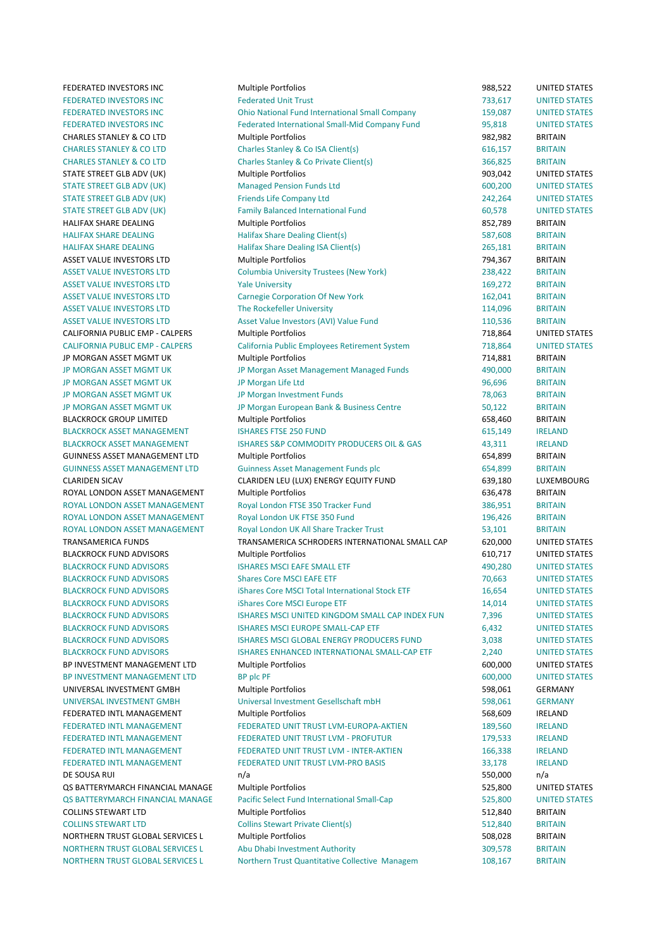FEDERATED INVESTORS INC **Multiple Portfolios 1988,522 UNITED STATES** 

FEDERATED INVESTORS INC Federated Unit Trust Trust 733.617 UNITED STATES FEDERATED INVESTORS INC **Company 159,087** UNITED STATES FEDERATED INVESTORS INC Federated International Small-Mid Company Fund 95,818 UNITED STATES CHARLES STANLEY & CO LTD Multiple Portfolios and the state of the S2.982 BRITAIN CHARLES STANLEY & CO LTD Charles Stanley & Co ISA Client(s) 616,157 BRITAIN CHARLES STANLEY & CO LTD Charles Stanley & Co Private Client(s) 366,825 BRITAIN STATE STREET GLB ADV (UK) Multiple Portfolios 60 and 503,042 UNITED STATES STATE STREET GLB ADV (UK) Managed Pension Funds Ltd 600,200 UNITED STATES STATE STREET GLB ADV (UK) Friends Life Company Ltd 242,264 UNITED STATES STATE STREET GLB ADV (UK) Family Balanced International Fund 60,578 UNITED STATES HALIFAX SHARE DEALING **Share Communist Controllering Controllering** Multiple Portfolios **852,789** BRITAIN HALIFAX SHARE DEALING **EXECUTE:** Halifax Share Dealing Client(s) **587,608** BRITAIN HALIFAX SHARE DEALING **Share Dealing ISA Client(s)** 265.181 BRITAIN ASSET VALUE INVESTORS LTD Multiple Portfolios and a metal of the control of the Multiple Portfolios and the control of the control of the control of the control of the control of the control of the control of the control o ASSET VALUE INVESTORS LTD Columbia University Trustees (New York) 238,422 BRITAIN ASSET 
 VALUE 
 INVESTORS 
 LTD Yale 
 University 169,272 BRITAIN ASSET VALUE INVESTORS LTD Carnegie Corporation Of New York 162,041 BRITAIN ASSET VALUE INVESTORS LTD The Rockefeller University 114,096 BRITAIN ASSET VALUE INVESTORS LTD Asset Value Investors (AVI) Value Fund 110,536 BRITAIN CALIFORNIA PUBLIC EMP - CALPERS Multiple Portfolios 718,864 UNITED STATES CALIFORNIA PUBLIC EMP - CALPERS California Public Employees Retirement System 718,864 UNITED STATES JP MORGAN ASSET MGMT UK **Multiple Portfolios CONFIDENT ACCOMPT 14,881** BRITAIN JP MORGAN ASSET MGMT UK **Same The Morgan Asset Management Managed Funds** 490,000 BRITAIN JP MORGAN ASSET MGMT UK THE SERIES OF A UP MORGAN LIFE Ltd THE LEG UP AND THE SERIES OF A UP AND THE SERIES OF BRITAIN JP MORGAN ASSET MGMT UK **The UK Assembly Democration of the UK ASSET MGMT UK** JP Morgan Investment Funds **78,063** BRITAIN JP MORGAN ASSET MGMT UK **SUBSET AND THE SET OF A SET ARE SET ASSAULT AND ASSET MGMT UK** SPRITAIN BLACKROCK GROUP LIMITED **Multiple Portfolios** 658,460 BRITAIN BLACKROCK ASSET MANAGEMENT **ISHARES FTSE 250 FUND 615,149** G15,149 IRELAND BLACKROCK ASSET MANAGEMENT ISHARES S&P COMMODITY PRODUCERS OIL & GAS 43,311 IRELAND GUINNESS ASSET MANAGEMENT LTD Multiple Portfolios and the control of the G54,899 BRITAIN GUINNESS ASSET MANAGEMENT LTD Guinness Asset Management Funds plc 654,899 BRITAIN CLARIDEN SICAV CLARIDEN LEU (LUX) ENERGY EQUITY FUND 639.180 LUXEMBOURG ROYAL LONDON ASSET MANAGEMENT Multiple Portfolios and the control of the control of the BRITAIN ROYAL LONDON ASSET MANAGEMENT Royal London FTSE 350 Tracker Fund 386,951 BRITAIN ROYAL LONDON ASSET MANAGEMENT Royal London UK FTSE 350 Fund 196,426 BRITAIN ROYAL LONDON ASSET MANAGEMENT Royal London UK All Share Tracker Trust 53,101 BRITAIN TRANSAMERICA FUNDS **TRANSAMERICA SCHRODERS INTERNATIONAL SMALL CAP** 620,000 UNITED STATES BLACKROCK FUND ADVISORS MULTIPLE Portfolios Multiple Portfolios 610.717 UNITED STATES BLACKROCK FUND ADVISORS **STATES** ISHARES MSCI EAFE SMALL ETF **1999 1999 1999,280** UNITED STATES BLACKROCK FUND ADVISORS Shares Core MSCI EAFE ETF **1999 120 FOR SHARES CORE** TO A SHARES CORE AFTER THE STATES BLACKROCK FUND ADVISORS **international Stock ETF** 16,654 UNITED STATES BLACKROCK FUND ADVISORS iShares Core MSCI Europe ETF 14,014 UNITED STATES BLACKROCK FUND ADVISORS **STATES** ISHARES MSCI UNITED KINGDOM SMALL CAP INDEX FUN **1998** THES STATES BLACKROCK FUND ADVISORS THE STATES ISHARES MSCI EUROPE SMALL-CAP ETF THE STATES THAT ASSAULT CHAP AND THE STATES BLACKROCK FUND ADVISORS SERVICES ISHARES MSCLIGLOBAL ENFRGY PRODUCERS FUND 3,038 UNITED STATES BLACKROCK FUND ADVISORS **ISHARES ENHANCED INTERNATIONAL SMALL-CAP ETF** 2,240 UNITED STATES BP INVESTMENT MANAGEMENT LTD Multiple Portfolios **COMPUTED STATES** 600,000 UNITED STATES BP INVESTMENT MANAGEMENT LTD BP plc PF 800,000 UNITED STATES UNIVERSAL INVESTMENT GMBH Multiple Portfolios 698,061 GERMANY UNIVERSAL INVESTMENT GMBH Universal Investment Gesellschaft mbH 598,061 GERMANY FEDERATED INTL MANAGEMENT Multiple Portfolios 668.609 1RELAND FEDERATED INTI MANAGEMENT FEDERATED UNIT TRUST I VM-FUROPA-AKTIEN 189,560 IRELAND FEDERATED INTL MANAGEMENT FEDERATED UNIT TRUST LVM - PROFUTUR THE 179.533 IRELAND FEDERATED INTL MANAGEMENT FEDERATED UNIT TRUST LVM - INTER-AKTIEN 166.338 IRELAND FEDERATED INTL MANAGEMENT FEDERATED UNIT TRUST LVM-PRO BASIS 33,178 IRELAND DE SOUSA RUI مات المستقلة المستقلة المستقلة المستقلة المستقلة المستقلة المستقلة المستقلة المستقلة المستقلة المستقلة OS BATTERYMARCH FINANCIAL MANAGE Multiple Portfolios 625,800 UNITED STATES QS BATTERYMARCH FINANCIAL MANAGE Pacific Select Fund International Small-Cap 525,800 UNITED STATES COLLINS STEWART LTD **STEWART LTD** Multiple Portfolios **512,840** BRITAIN COLLINS STEWART LTD Collins Stewart Private Client(s) 512,840 BRITAIN NORTHERN TRUST GLOBAL SERVICES L Multiple Portfolios CONTROL CONTROL DESIGNATION SO S.028 BRITAIN NORTHERN TRUST GLOBAL SERVICES L Abu Dhabi Investment Authority 309,578 BRITAIN NORTHERN TRUST GLOBAL SERVICES L Morthern Trust Quantitative Collective Managem 108.167 BRITAIN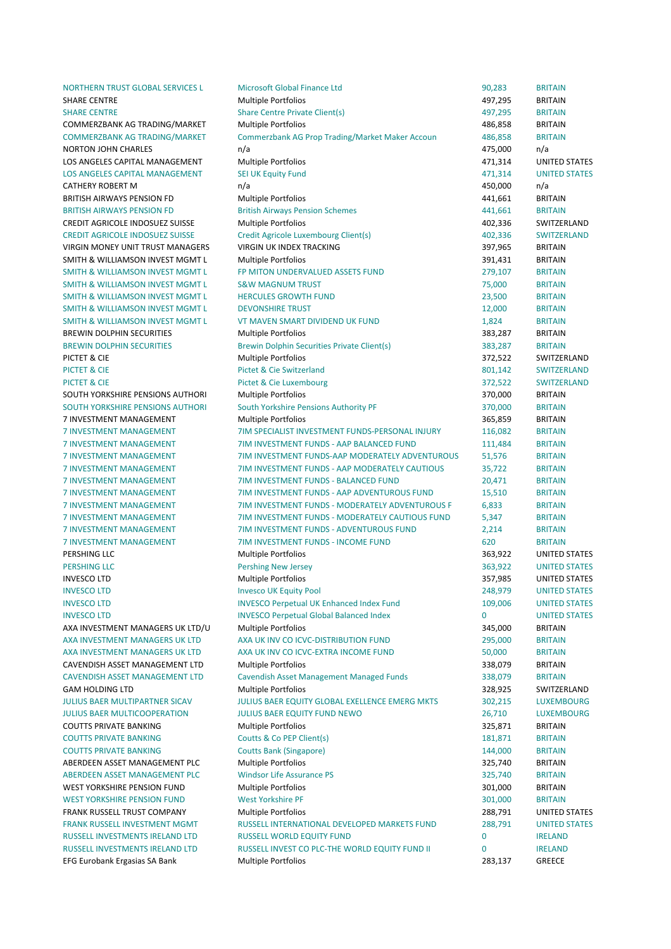NORTHERN TRUST GLOBAL SERVICES L Microsoft Global Finance Ltd 90,283 BRITAIN SHARE 
 CENTRE Multiple 
 Portfolios 497,295 BRITAIN SHARE CENTRE Share Centre Private Client(s) 497,295 BRITAIN COMMERZBANK AG TRADING/MARKET Multiple Portfolios and the metal and the metal and the metal and the metal and the metal and the metal and the metal and the metal and the metal and the metal and the metal and the metal and COMMERZBANK AG TRADING/MARKET Commerzbank AG Prop Trading/Market Maker Accoun 486,858 BRITAIN NORTON JOHN CHARLES **n/a** and a n/a 475,000 n/a LOS ANGELES CAPITAL MANAGEMENT Multiple Portfolios and the state of the states are a stated to the UNITED STATES LOS ANGELES CAPITAL MANAGEMENT SEI UK Equity Fund 471.314 UNITED STATES CATHERY ROBERT M **n/a** and the n/a and the number of the number of the number of the number of the number of the number of the number of the number of the number of the number of the number of the number of the number of t BRITISH AIRWAYS PENSION FD Multiple Portfolios and the matter of the 441,661 BRITAIN BRITISH AIRWAYS PENSION FD **British Airways Pension Schemes** 441,661 BRITAIN CREDIT AGRICOLE INDOSUEZ SUISSE Multiple Portfolios 402,336 SWITZERLAND CREDIT AGRICOLE INDOSUEZ SUISSE Credit Agricole Luxembourg Client(s) 402.336 SWITZERLAND VIRGIN MONEY UNIT TRUST MANAGERS VIRGIN UK INDEX TRACKING **1988 CONTRACKING** 397,965 BRITAIN SMITH & WILLIAMSON INVEST MGMT L Multiple Portfolios and the state of the state of the state of the state of the state of the state of the state of the state of the state of the state of the state of the state of the state SMITH & WILLIAMSON INVEST MGMT L FP MITON UNDERVALUED ASSETS FUND 279.107 BRITAIN SMITH & WILLIAMSON INVEST MGMT L S&W MAGNUM TRUST CONTROL THE SAMITH RESIDENCE OF BRITAIN SMITH & WILLIAMSON INVEST MGMT LATTER THERCULES GROWTH FUND 23,500 BRITAIN SMITH & WILLIAMSON INVEST MGMT L DEVONSHIRE TRUST THE STATE RELATION TO A 12,000 BRITAIN SMITH & WILLIAMSON INVEST MGMT L THE MAVEN SMART DIVIDEND UK FUND 1,824 BRITAIN BREWIN DOLPHIN SECURITIES **Multiple Portfolios 1885,287** BRITAIN BREWIN DOLPHIN SECURITIES Brewin Dolphin Securities Private Client(s) 383,287 BRITAIN PICTET & CIE SALLER SERVITZERLAND Multiple Portfolios STATES AND THE STATE SWITZERLAND PICTET & CIE Switzerland BO1,142 SWITZERLAND PICTET & CIE SALLER CIE EUXEMBOURG COMPUTER AND THE STATE SWITZERLAND SOUTH YORKSHIRE PENSIONS AUTHORI Multiple Portfolios and the state of the state of the state of the state of the state of the state of the state of the state of the state of the state of the state of the state of the state SOUTH YORKSHIRE PENSIONS AUTHORI South Yorkshire Pensions Authority PF 370,000 BRITAIN 7 INVESTMENT MANAGEMENT MUltiple Portfolios 365,859 BRITAIN 7 INVESTMENT MANAGEMENT THE STIM SPECIALIST INVESTMENT FUNDS-PERSONAL INJURY 116.082 BRITAIN 7 INVESTMENT MANAGEMENT TIM INVESTMENT FUNDS - AAP BALANCED FUND 111.484 BRITAIN 7 INVESTMENT MANAGEMENT THE TIM INVESTMENT FUNDS-AAP MODERATELY ADVENTUROUS 51.576 BRITAIN 7 INVESTMENT MANAGEMENT 7 TIM INVESTMENT FUNDS - AAP MODERATELY CAUTIOUS 35,722 BRITAIN 7 INVESTMENT MANAGEMENT THINDS - BALANCED FUND 20.471 BRITAIN 7 INVESTMENT MANAGEMENT THINDS - AAP ADVENTUROUS FUND 15,510 BRITAIN 7 INVESTMENT MANAGEMENT **THANG AREA TO A THANGE THE SET AND ASSESS** THANGER AND RESERVE AND RESERVE AND RESERVE AND RESERVE AND RESERVE AND RESERVE AND RESERVE AND RESERVE AND RESERVE AND RESERVE AND RESERVE AND RESERVE AS 7 INVESTMENT MANAGEMENT **THAT INVESTMENT FUNDS - MODERATELY CALITIOUS FUND** 5,347 BRITAIN 7 INVESTMENT MANAGEMENT TIM THE THEORY OF THE THEORY OF THE THEORY OF THE THEORY OF THE THEORY OF THE THEORY O 7 INVESTMENT MANAGEMENT THE THE THE THEORY OF THE THEORY OF THE THEORY OF THE THEORY OF THE THEORY OF THE THEORY OF THE THEORY OF THE THEORY OF THE THEORY OF THE THEORY OF THE THEORY OF THE THEORY OF THE THEORY OF THE THEO PERSHING 
 LLC Multiple 
 Portfolios 363,922 UNITED 
 STATES PERSHING LLC **STATES CONSUMER STATES Pershing New Jersey <b>1999** 2008 1999 2009 2012 2011 2012 2013 2024 2012 2013 INVESCO 
 LTD Multiple 
 Portfolios 357,985 UNITED 
 STATES INVESCO LTD **Example 248,979** UNITED STATES INVESCO LTD **INVESCO Perpetual UK Enhanced Index Fund** 109,006 UNITED STATES INVESCO Perpetual Global Balanced Index 0 UNITED STATES AXA INVESTMENT MANAGERS UK LTD/U Multiple Portfolios and a statements of the statements of the BRITAIN AXA INVESTMENT MANAGERS UK LTD AXA UK INV CO ICVC-DISTRIBUTION FUND 295,000 BRITAIN AXA INVESTMENT MANAGERS UK LTD AXA UK INV CO ICVC-EXTRA INCOME FUND 50,000 BRITAIN CAVENDISH ASSET MANAGEMENT LTD Multiple Portfolios and the state of the state of the state of the STATAIN CAVENDISH ASSET MANAGEMENT LTD Cavendish Asset Management Managed Funds 338,079 BRITAIN GAM HOLDING LTD **STATE AREA CONTROLLER MULTIPLE MULTIPLE OF THE STATE AREA CONTROLLER SWITZERLAND** JULIUS BAER MULTIPARTNER SICAV **SULLIUS BAER EQUITY GLOBAL EXELLENCE EMERG MKTS** 302,215 LUXEMBOURG JULIUS BAER MULTICOOPERATION **MULTICOOPERATION** JULIUS BAER EQUITY FUND NEWO **1999 1999 1999 1999 1999 1999 1999** COUTTS PRIVATE BANKING **Example 2008** Multiple Portfolios **COUTTS 225,871** BRITAIN COUTTS 
 PRIVATE 
 BANKING Coutts 
 & 
 Co 
 PEP 
 Client(s) 181,871 BRITAIN COUTTS PRIVATE BANKING Coutts Bank (Singapore) 144,000 BRITAIN ABERDEEN ASSET MANAGEMENT PLC Multiple Portfolios and a state of the state of the state of the BRITAIN ABERDEEN ASSET MANAGEMENT PLC Windsor Life Assurance PS 325,740 BRITAIN WEST YORKSHIRE PENSION FUND Multiple Portfolios and the state of the state of the state of the state of the state of the state of the state of the state of the state of the state of the state of the state of the state of t WEST YORKSHIRE PENSION FUND West Yorkshire PF 301,000 BRITAIN **FRANK RUSSELL TRUST COMPANY Multiple Portfolios 288,791 UNITED STATES ERANK RUSSELL INVESTMENT MGMT RUSSELL INTERNATIONAL DEVELOPED MARKETS FUND 288,791 UNITED STATES** RUSSELL INVESTMENTS IRELAND LTD RUSSELL WORLD FOULTY FUND **1996 CONTACT CONTACT A CONTACT CONTACT A** RELAND RUSSELL INVESTMENTS IRELAND LTD BUSSELL INVEST CO PLC-THE WORLD EQUITY FUND II 0 IRELAND EFG Eurobank Ergasias SA Bank **Multiple Portfolios Canadia Communist Communist Canadia Communist Communist Communist Communist Communist Communist Communist Communist Communist Communist Communist Communist Communist Com**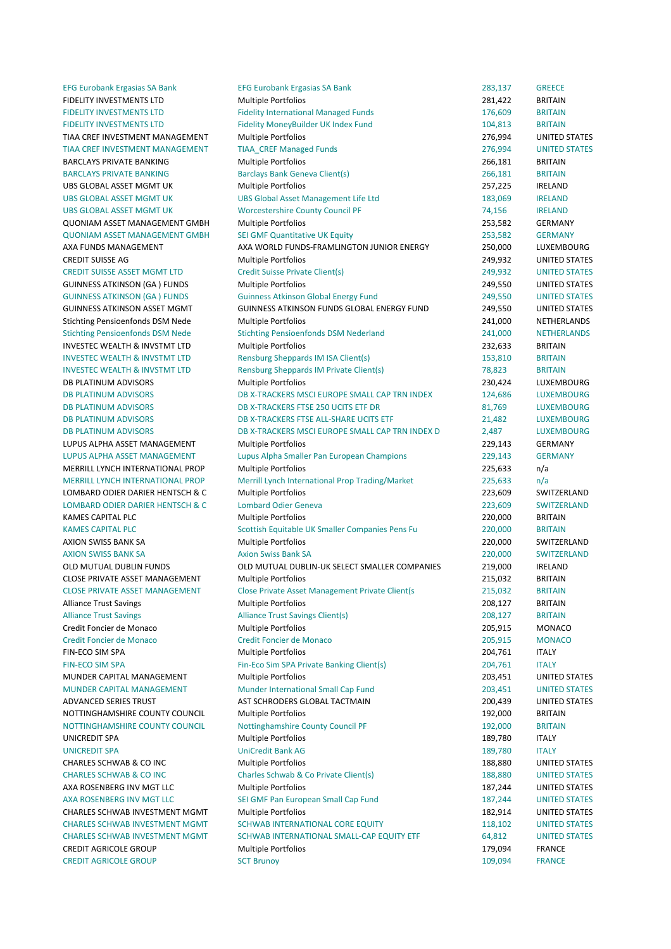CREDIT AGRICOLE GROUP SCT Brunov SCT Brunov 309.094 FRANCE

EFG Eurobank Ergasias SA Bank **EFG Eurobank Ergasias SA Bank** 283,137 GREECE FIDELITY INVESTMENTS LTD **Multiple Portfolios 1996 1997 1281,422** BRITAIN FIDELITY INVESTMENTS LTD Fidelity International Managed Funds 176,609 BRITAIN FIDELITY INVESTMENTS LTD Fidelity MoneyBuilder UK Index Fund 104,813 BRITAIN TIAA CREF INVESTMENT MANAGEMENT Multiple Portfolios and the controlled and the control of the control of the control of the control of the control of the control of the control of the control of the control of the control TIAA CREF INVESTMENT MANAGEMENT TIAA CREF Managed Funds **1995 100 CONTACT 100 CONTACT 100 CONTACT 100 CONTACT 100** BARCLAYS PRIVATE BANKING Multiple Portfolios and the contract of the contract of the BRITAIN BARCLAYS PRIVATE BANKING **Bank Banclays Bank Geneva Client(s)** 266,181 BRITAIN UBS 
 GLOBAL 
 ASSET 
 MGMT 
 UK Multiple 
 Portfolios 257,225 IRELAND UBS 
 GLOBAL 
 ASSET 
 MGMT 
 UK UBS 
 Global 
 Asset 
 Management 
 Life 
 Ltd 183,069 IRELAND UBS GLOBAL ASSET MGMT UK **Worcestershire County Council PF** 74,156 IRELAND **QUONIAM ASSET MANAGEMENT GMBH** Multiple Portfolios **CONICERT 1999 1201 1253.582** GERMANY QUONIAM ASSET MANAGEMENT GMBH SEI GMF Quantitative UK Equity 253,582 GERMANY AXA 
 FUNDS 
 MANAGEMENT AXA 
 WORLD 
 FUNDS-‐FRAMLINGTON 
 JUNIOR 
 ENERGY 250,000 LUXEMBOURG CREDIT 
 SUISSE 
 AG Multiple 
 Portfolios 249,932 UNITED 
 STATES CREDIT SUISSE ASSET MGMT LTD Credit Suisse Private Client(s) 249,932 UNITED STATES GUINNESS ATKINSON (GA ) FUNDS Multiple Portfolios and a state of the states of the Multiple Portfolios and the states of the states of the states of the states of the states of the states of the states of the states of the GUINNESS ATKINSON (GA ) FUNDS Guinness Atkinson Global Energy Fund 249,550 UNITED STATES GUINNESS ATKINSON ASSET MGMT GUINNESS ATKINSON FUNDS GLOBAL ENERGY FUND 249,550 UNITED STATES Stichting Pensioenfonds DSM Nede Multiple Portfolios 241,000 NETHERLANDS Stichting Pensioenfonds DSM Nede Stichting Pensioenfonds DSM Nederland 241,000 NETHERLANDS INVESTEC WEALTH & INVSTMT LTD Multiple Portfolios and a state of the contract of the 232,633 BRITAIN INVESTEC WEALTH & INVSTMT LTD **Rensburg Sheppards IM ISA Client(s)** 153,810 BRITAIN INVESTEC WEALTH & INVSTMT LTD Rensburg Sheppards IM Private Client(s) 78,823 BRITAIN DB PLATINUM ADVISORS **Multiple Portfolios** 230,424 LUXEMBOURG DB PLATINUM ADVISORS DB X-TRACKERS MSCI EUROPE SMALL CAP TRN INDEX 124,686 LUXEMBOURG DB 
 PLATINUM 
 ADVISORS DB 
 X-‐TRACKERS 
 FTSE 
 250 
 UCITS 
 ETF 
 DR 81,769 LUXEMBOURG DB 
 PLATINUM 
 ADVISORS DB 
 X-‐TRACKERS 
 FTSE 
 ALL-‐SHARE 
 UCITS 
 ETF 21,482 LUXEMBOURG DB PLATINUM ADVISORS **DB X-TRACKERS MSCI EUROPE SMALL CAP TRN INDEX D** 2,487 LUXEMBOURG LUPUS ALPHA ASSET MANAGEMENT Multiple Portfolios and a comparable control of the 229,143 GERMANY LUPUS ALPHA ASSET MANAGEMENT Lupus Alpha Smaller Pan European Champions 229,143 GERMANY MERRILL LYNCH INTERNATIONAL PROP Multiple Portfolios and a metal of the control of the 225,633 n/a MERRILL LYNCH INTERNATIONAL PROP Merrill Lynch International Prop Trading/Market 225,633 n/a LOMBARD ODIER DARIER HENTSCH & C Multiple Portfolios 223,609 SWITZERLAND LOMBARD ODIER DARIER HENTSCH & C Lombard Odier Geneva 223,609 SWITZERLAND KAMES CAPITAL PLC **Example 220,000** BRITAIN KAMES CAPITAL PLC **Subset Contains Continues** Scottish Equitable UK Smaller Companies Pens Fu Capital Capital Capital Capital Capital Capital Capital Capital Capital Capital Capital Capital Capital Capital Capital Capital AXION SWISS BANK SA CHARGE IN A Multiple Portfolios CHARGE COMPUTER AND MULTIPLE AND A SANTZERLAND AXION SWISS BANK SA **Axion Swiss Bank SA Bank SA** 220,000 SWITZERLAND OLD MUTUAL DUBLIN FUNDS **OLD MUTUAL DUBLIN-UK SELECT SMALLER COMPANIES** 219,000 IRELAND CLOSE PRIVATE ASSET MANAGEMENT Multiple Portfolios and a memory of the contract of the contract of the contract of the contract of the contract of the contract of the contract of the contract of the contract of the contrac CLOSE PRIVATE ASSET MANAGEMENT Close Private Asset Management Private Client(s 215,032 BRITAIN Alliance Trust Savings and Multiple Portfolios and Multiple Portfolios and Multiple Trust Savings and Multiple Portfolios and Multiple Portfolios and Multiple Portfolios and Multiple Portfolios and Multiple Portfolios and Alliance Trust Savings **Alliance Trust Savings Client**(s) **208,127** BRITAIN Credit Foncier de Monaco **Multiple Portfolios** 205,915 MONACO Credit Foncier de Monaco Credit Foncier de Monaco 205,915 MONACO FIN-ECO SIM SPA COME CONSULTED Multiple Portfolios COME CONSULTED 204,761 ITALY FIN-ECO SIM SPA **Fin-Eco** Sim SPA Private Banking Client(s) 204,761 ITALY MUNDER CAPITAL MANAGEMENT Multiple Portfolios and the controller capital distribution of the MUNDER CAPITAL MANAGEMENT MUNDER CAPITAL MANAGEMENT Munder International Small Cap Fund 203,451 UNITED STATES ADVANCED SERIES TRUST TRUST THE STATES AST SCHRODERS GLOBAL TACTMAIN THE CONSERVANCED STATES AND UNITED STATES NOTTINGHAMSHIRE COUNTY COUNCIL Multiple Portfolios and the country of the countries of the MITAIN NOTTINGHAMSHIRE COUNTY COUNCIL Mottinghamshire County Council PF 192,000 BRITAIN UNICREDIT SPA **Multiple Portfolios** 189,780 ITALY UNICREDIT SPA CHECK CONTROLLED A UNICREDIT SPA CHECK CONTROLLED UNICREDIT SPA CHECK CONTROLLED UNICREDIT SPA CHECK UNICREDIT SPA CHECK CONTROLLED UNICREDIT SPA CHECK CONTROLLED UNICREDIT SPA CHECK CONTROLLED UNICREDIT SPA CHARLES SCHWAB & CO INC **Multiple Portfolios** 188,880 UNITED STATES CHARLES SCHWAB & CO INC Charles Schwab & Co Private Client(s) 188,880 UNITED STATES AXA ROSENBERG INV MGT LLC **Multiple Portfolios** and the state of the state of the states and the states of the states of the states of the states of the states of the states of the states of the states of the states of the AXA ROSENBERG INV MGT LLC SEI GMF Pan European Small Cap Fund 187,244 UNITED STATES CHARLES SCHWAB INVESTMENT MGMT Multiple Portfolios 183,914 UNITED STATES CHARLES SCHWAB INVESTMENT MGMT SCHWAB INTERNATIONAL CORE EQUITY 118,102 UNITED STATES CHARLES SCHWAB INVESTMENT MGMT SCHWAB INTERNATIONAL SMALL-CAP FOULTY FTE 64,812 UNITED STATES CREDIT 
 AGRICOLE 
 GROUP Multiple 
 Portfolios 179,094 FRANCE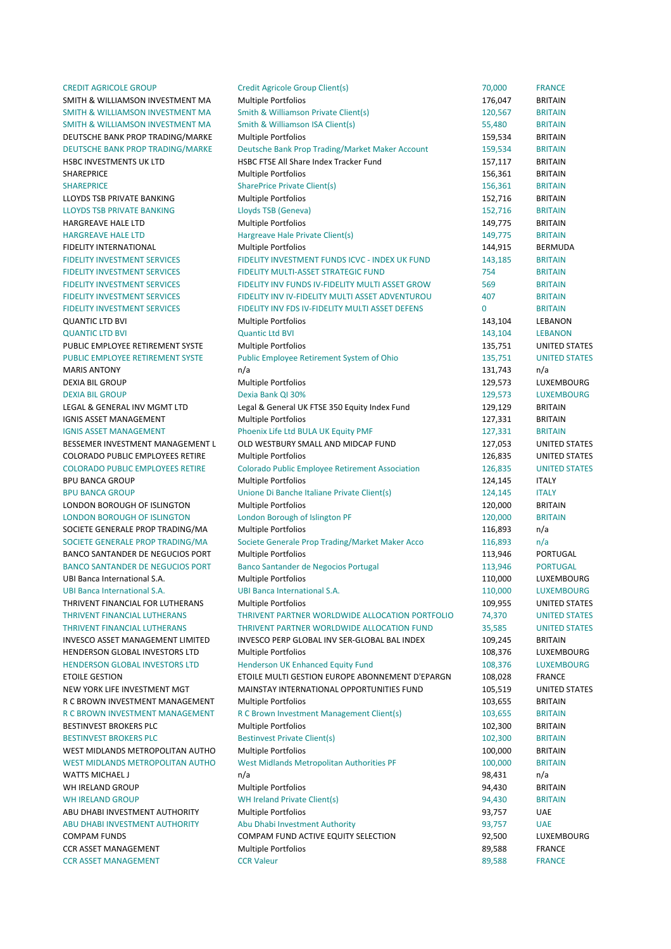CCR ASSET MANAGEMENT CCR Valeur CCR Valeur CCR CONTEXATION COR ASSET MANAGEMENT

CREDIT AGRICOLE GROUP Credit Agricole Group Client(s) 70,000 FRANCE SMITH & WILLIAMSON INVESTMENT MA Multiple Portfolios and the match of the match of the BRITAIN SMITH & WILLIAMSON INVESTMENT MA Smith & Williamson Private Client(s) 120,567 BRITAIN SMITH & WILLIAMSON INVESTMENT MA Smith & Williamson ISA Client(s) 55,480 BRITAIN DEUTSCHE BANK PROP TRADING/MARKE Multiple Portfolios 159,534 BRITAIN DEUTSCHE BANK PROP TRADING/MARKE Deutsche Bank Prop Trading/Market Maker Account 159,534 BRITAIN HSBC INVESTMENTS UK LTD **HSBC FTSE All Share Index Tracker Fund** 157,117 BRITAIN SHAREPRICE **12.1 International Multiple Portfolios** 156,361 BRITAIN SHAREPRICE SharePrice Private Client(s) 156,361 BRITAIN LLOYDS TSB PRIVATE BANKING **Multiple Portfolios** 152,716 BRITAIN LLOYDS 
 TSB 
 PRIVATE 
 BANKING Lloyds 
 TSB 
 (Geneva) 152,716 BRITAIN HARGREAVE HALE LTD **Multiple Portfolios 149.775 BRITAIN** HARGREAVE HALE LTD **Hargreave Hale Private Client(s)** 149,775 BRITAIN FIDELITY INTERNATIONAL 
THE MULTIPLE OF MULTIPLE PORTFOLIOS

THE MULTIPLE OF THE MULTIPLE OF THE MULTIPLE OF THE MULTIPLE OF THE MULTIPLE OF THE MULTIPLE OF THE MULTIPLE OF THE MULTIPLE OF THE MULTIPLE OF THE MULTIPLE OF T FIDELITY INVESTMENT SERVICES FIDELITY INVESTMENT FUNDS ICVC - INDEX UK FUND 143,185 BRITAIN **FIDELITY INVESTMENT SERVICES FIDELITY MULTI-ASSET STRATEGIC FUND FIDELITY IN THE RITAIN** FIDELITY INVESTMENT SERVICES FIDELITY INV FUNDS IV-FIDELITY MULTI ASSET GROW 569 BRITAIN FIDELITY INVESTMENT SERVICES FIDELITY INV IV-FIDELITY MULTI ASSET ADVENTUROU FIDELITY INVESTMENT AND FIDELITY INVESTMENT SERVICES FIDELITY INV FDS IV-FIDELITY MULTI ASSET DEFENS O BRITAIN QUANTIC LTD BVI CHANGE CONTROLLER MULTIPLE PORTfolios COMMUNIC LTD BVI CHANON CONTROLLER MULTIPLE CONTROLLER MULTIPLE QUANTIC LTD BVI 143,104 LEBANON COUNTROLLED AND COUNTROLLED BY COUNTROLLED AND COUNTROLLED AND COUNTROLLED AND COUNTROLLED AND COUNTROLLED AND COUNTROLLED AND COUNTROLLED AND COUNTROLLED AND COUNTROLLED AND COUNTROLLED AND PUBLIC EMPLOYEE RETIREMENT SYSTE Multiple Portfolios 135,751 UNITED STATES PUBLIC EMPLOYEE RETIREMENT SYSTE Public Employee Retirement System of Ohio 135,751 UNITED STATES MARIS 
 ANTONY n/a 131,743 n/a DEXIA BIL GROUP **Multiple Portfolios Multiple Portfolios 129,573** LUXEMBOURG DEXIA 
 BIL 
 GROUP Dexia 
 Bank 
 QI 
 30% 129,573 LUXEMBOURG LEGAL & GENERAL INV MGMT LTD Legal & General UK FTSE 350 Equity Index Fund 129,129 BRITAIN IGNIS ASSET MANAGEMENT THE Multiple Portfolios The Multiple of the Multiple Portfolios And Multiple Portfolios IGNIS ASSET MANAGEMENT **CONTRACT CONTRACT BRITAIN** Phoenix Life Ltd BULA UK Equity PMF 127,331 BRITAIN BESSEMER INVESTMENT MANAGEMENT L OLD WESTBURY SMALL AND MIDCAP FUND 127,053 UNITED STATES COLORADO PUBLIC EMPLOYEES RETIRE Multiple Portfolios and the state of the multiple of the Multiple Portfolios and the states of the states of the states of the states of the states of the states of the states of the states COLORADO PUBLIC EMPLOYEES RETIRE Colorado Public Employee Retirement Association 126,835 UNITED STATES BPU 
 BANCA 
 GROUP Multiple 
 Portfolios 124,145 ITALY BPU BANCA GROUP 
Unione Di Banche Italiane Private Client(s) 
124,145 
ITALY LONDON BOROUGH OF ISLINGTON Multiple Portfolios 120,000 BRITAIN LONDON BOROUGH OF ISLINGTON London Borough of Islington PF 120,000 BRITAIN SOCIETE GENERALE PROP TRADING/MA Multiple Portfolios 116,893 n/a SOCIETE GENERALE PROP TRADING/MA Societe Generale Prop Trading/Market Maker Acco 116,893 n/a BANCO SANTANDER DE NEGUCIOS PORT Multiple Portfolios and a metal of the state of the portugal BANCO SANTANDER DE NEGUCIOS PORT Banco Santander de Negocios Portugal 113,946 PORTUGAL UBI 
 Banca 
 International 
 S.A. Multiple 
 Portfolios 110,000 LUXEMBOURG UBI 
 Banca 
 International 
 S.A. UBI 
 Banca 
 International 
 S.A. 110,000 LUXEMBOURG THRIVENT FINANCIAL FOR LUTHERANS Multiple Portfolios 109,955 UNITED STATES THRIVENT FINANCIAL LUTHERANS THRIVENT PARTNER WORLDWIDE ALLOCATION PORTFOLIO 74.370 UNITED STATES THRIVENT FINANCIAL LUTHERANS THRIVENT PARTNER WORLDWIDE ALLOCATION FUND 35,585 UNITED STATES INVESCO ASSET MANAGEMENT LIMITED INVESCO PERP GLOBAL INV SER-GLOBAL BAL INDEX 109.245 BRITAIN HENDERSON GLOBAL INVESTORS LTD Multiple Portfolios and the match of the multiple of the match of the multiple of the multiple of the match of the multiple of the multiple portfolios and the multiple of the multiple portfol HENDERSON GLOBAL INVESTORS LTD Henderson UK Enhanced Equity Fund 108,376 LUXEMBOURG ETOILE GESTION 
ETOILE MULTI GESTION EUROPE ABONNEMENT D'EPARGN 
108,028 FRANCE NEW YORK LIFE INVESTMENT MGT **MAINSTAY INTERNATIONAL OPPORTUNITIES FUND** 105,519 UNITED STATES R C BROWN INVESTMENT MANAGEMENT Multiple Portfolios and the management of the MITAIN R C BROWN INVESTMENT MANAGEMENT R C Brown Investment Management Client(s) 103,655 BRITAIN BESTINVEST BROKERS PLC **Multiple Portfolios 102.300 BRITAIN** BESTINVEST BROKERS PLC Bestinvest Private Client(s) 102,300 BRITAIN WEST MIDLANDS METROPOLITAN AUTHO Multiple Portfolios and the match of the multiple of the match of the match of the multiple portfolios and the match of the match of the match of the match of the match of the match of the WEST MIDLANDS METROPOLITAN AUTHO West Midlands Metropolitan Authorities PF 100,000 BRITAIN WATTS MICHAEL JAN AND THE STATE OF THE STATE OF THE STATE OF THE STATE OF THE STATE OF THE STATE OF THE STATE OF THE STATE OF THE STATE OF THE STATE OF THE STATE OF THE STATE OF THE STATE OF THE STATE OF THE STATE OF THE S WH 
 IRELAND 
 GROUP Multiple 
 Portfolios 94,430 BRITAIN WH IRELAND GROUP **CONTAIN CONTROLLER WHI Ireland Private Client(s) CONTROLLER SETTAIN** ABU DHABI INVESTMENT AUTHORITY Multiple Portfolios and the state of the state of the state of the Multiple Portfolios and the state of the state of the state of the state of the state of the state of the state of the state ABU DHABI INVESTMENT AUTHORITY Abu Dhabi Investment Authority **193,757** UAE COMPAM FUNDS COMPAM FUND ACTIVE FOULTY SELECTION 52 500 LUXEMBOURG CCR ASSET MANAGEMENT Multiple Portfolios and the set of the set of the set of the set of the set of the set of the set of the set of the set of the set of the set of the set of the set of the set of the set of the set of t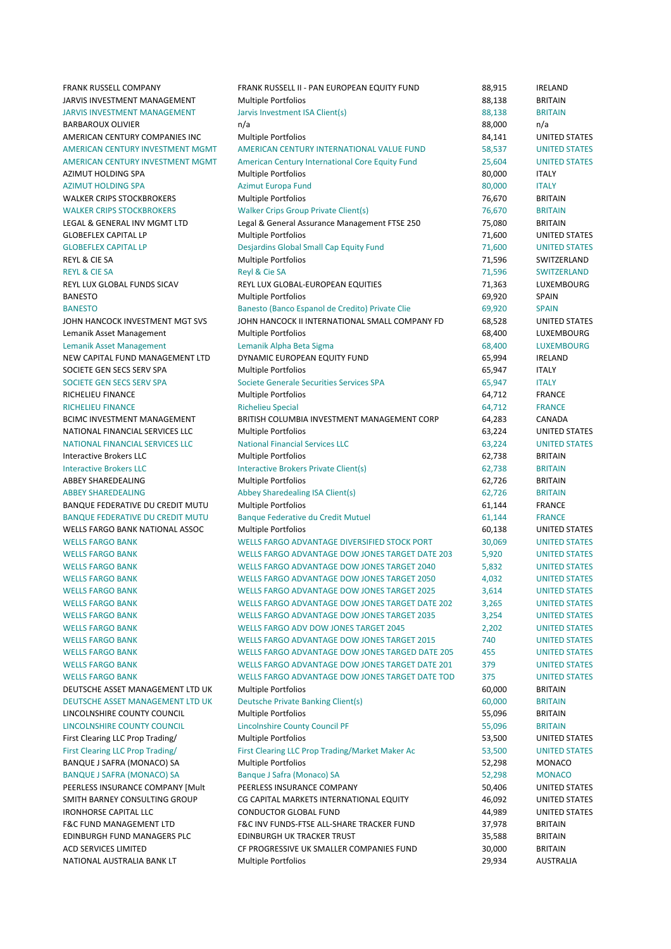NATIONAL AUSTRALIA BANK LT Multiple Portfolios and a compared to the control of the control of the control of the control of the control of the control of the control of the control of the control of the control of the con

FRANK RUSSELL COMPANY FRANK RUSSELL II - PAN EUROPEAN EQUITY FUND 88,915 IRELAND JARVIS INVESTMENT MANAGEMENT Multiple Portfolios and the state of the state of the state of the state of the state of the state of the state of the state of the state of the state of the state of the state of the state of JARVIS INVESTMENT MANAGEMENT Jarvis Investment ISA Client(s) 88,138 BRITAIN BARBAROUX OLIVIER **n/a** n/a **barbaroux** olivier n/a 88,000 n/a AMERICAN CENTURY COMPANIES INC Multiple Portfolios and a set of the states and the states are set of the states of the states and the states are states and the states of the states of the states of the states of the states AMERICAN CENTURY INVESTMENT MGMT AMERICAN CENTURY INTERNATIONAL VALUE FUND 58.537 UNITED STATES AMERICAN CENTURY INVESTMENT MGMT American Century International Core Equity Fund 25,604 UNITED STATES AZIMUT HOLDING SPA **Multiple Portfolios** 80,000 ITALY AZIMUT 
 HOLDING 
 SPA Azimut 
 Europa 
 Fund 80,000 ITALY WALKER CRIPS STOCKBROKERS Multiple Portfolios and the control of the control of the BRITAIN WALKER CRIPS STOCKBROKERS Walker Crips Group Private Client(s) 76,670 BRITAIN LEGAL & GENERAL INV MGMT LTD Legal & General Assurance Management FTSE 250 75,080 BRITAIN GLOBEFLEX CAPITAL LP **Multiple Portfolios 1.600** UNITED STATES GLOBEFLEX CAPITAL LP **STATES** Desiardins Global Small Cap Equity Fund **71.600** UNITED STATES REYL & CIE SA GUILLERLAND CONTROLLER MULTIPLE PORTFOLIOS CONTROLLER CONTROLLER CONTROLLER SWITZERLAND REYL & CIE SA SWITZERLAND (NORTHERD AND REYL & CIE SA REYL & CIE SA 71,596 SWITZERLAND REYL 
 LUX 
 GLOBAL 
 FUNDS 
 SICAV REYL 
 LUX 
 GLOBAL-‐EUROPEAN 
 EQUITIES 71,363 LUXEMBOURG BANESTO Multiple 
 Portfolios 69,920 SPAIN BANESTO **Banesto (Banco Espanol de Credito)** Private Clie 69,920 SPAIN JOHN HANCOCK INVESTMENT MGT SVS JOHN HANCOCK II INTERNATIONAL SMALL COMPANY FD 68,528 UNITED STATES Lemanik Asset Management **Multiple Portfolios Community Community** 68,400 LUXEMBOURG Lemanik Asset Management Lemanik Alpha Beta Sigma and the state of the G8,400 LUXEMBOURG NEW CAPITAL FUND MANAGEMENT LTD DYNAMIC EUROPEAN EQUITY FUND 65,994 IRELAND SOCIETE GEN SECS SERV SPA **Multiple Portfolios** 65,947 1TALY SOCIETE GEN SECS SERV SPA Societe Generale Securities Services SPA 65,947 ITALY RICHELIEU 
 FINANCE Multiple 
 Portfolios 64,712 FRANCE RICHELIEU 
 FINANCE Richelieu 
 Special 64,712 FRANCE BCIMC INVESTMENT MANAGEMENT BRITISH COLUMBIA INVESTMENT MANAGEMENT CORP 64,283 CANADA NATIONAL FINANCIAL SERVICES LLC Multiple Portfolios 63.224 UNITED STATES NATIONAL 
 FINANCIAL 
 SERVICES 
 LLC National 
 Financial 
 Services 
 LLC 63,224 UNITED 
 STATES Interactive Brokers LLC **Containers and Containers Containers** Multiple Portfolios **Containers 1988** BRITAIN Interactive Brokers LLC **Interactive Brokers Private Client(s)** 62,738 BRITAIN ABBEY 
 SHAREDEALING Multiple 
 Portfolios 62,726 BRITAIN ABBEY SHAREDEALING **Abbey Sharedealing ISA Client(s)** 62,726 BRITAIN BANQUE FEDERATIVE DU CREDIT MUTU Multiple Portfolios 61,144 61,144 FRANCE BANQUE FEDERATIVE DU CREDIT MUTU Banque Federative du Credit Mutuel 61,144 FRANCE WELLS EARGO RANK NATIONAL ASSOC Multiple Portfolios 60,138 UNITED STATES WELLS FARGO BANK WELLS FARGO ADVANTAGE DIVERSIFIED STOCK PORT 30,069 UNITED STATES WELLS FARGO BANK CHELLS FARGO ADVANTAGE DOW JONES TARGET DATE 203 5.920 UNITED STATES WELLS FARGO BANK **WELLS FARGO ADVANTAGE DOW JONES TARGET 2040** 5,832 UNITED STATES WELLS FARGO BANK **WELLS FARGO ADVANTAGE DOW JONES TARGET 2050** 4.032 UNITED STATES WELLS FARGO BANK **WELLS FARGO ADVANTAGE DOW JONES TARGET 2025** 3,614 UNITED STATES WELLS FARGO BANK **WELLS FARGO ADVANTAGE DOW JONES TARGET DATE 202** 3.265 UNITED STATES WELLS FARGO BANK **WELLS FARGO ADVANTAGE DOW JONES TARGET 2035** 3.254 UNITED STATES WELLS FARGO BANK WELLS FARGO ADVIDOW JONES TARGET 2045 2.202 UNITED STATES WELLS FARGO RANK CONTROLLS FARGO ADVANTAGE DOW JONES TARGET 2015 240 UNITED STATES WELLS FARGO ADVANTAGE DOW JONES TARGED DATE 205 455 UNITED STATES WELLS FARGO BANK CHELLS FARGO ADVANTAGE DOW JONES TARGET DATE 201 379 UNITED STATES WELLS FARGO BANK **WELLS FARGO ADVANTAGE DOW JONES TARGET DATE TOD** 375 UNITED STATES DEUTSCHE ASSET MANAGEMENT LTD UK Multiple Portfolios 60,000 BRITAIN DEUTSCHE ASSET MANAGEMENT LTD UK Deutsche Private Banking Client(s) 60,000 BRITAIN LINCOLNSHIRE COUNTY COUNCIL **Multiple Portfolios** 65,096 BRITAIN LINCOLNSHIRE COUNTY COUNCIL Lincolnshire County Council PF 55,096 BRITAIN First Clearing LLC Prop Trading/ Multiple Portfolios 653,500 UNITED STATES First Clearing LLC Prop Trading/ First Clearing LLC Prop Trading/Market Maker Ac 53,500 UNITED STATES BANQUE J SAFRA (MONACO) SA Multiple Portfolios 62,298 MONACO BANQUE J SAFRA (MONACO) SA Banque J Safra (Monaco) SA 52,298 MONACO PEERLESS INSURANCE COMPANY [Mult PEERLESS INSURANCE COMPANY **1994 100 COMPANY** 50.406 UNITED STATES SMITH BARNEY CONSULTING GROUP CG CAPITAL MARKETS INTERNATIONAL EQUITY 46,092 UNITED STATES IRONHORSE CAPITAL LLC CONDUCTOR GLOBAL FUND 44,989 UNITED STATES F&C FUND MANAGEMENT LTD F&C INV FUNDS-FTSE ALL-SHARE TRACKER FUND 37.978 BRITAIN EDINBURGH EUND MANAGERS PIC FUND EDINBURGH UK TRACKER TRUST THE SERIES OF SEX BRITAIN ACD SERVICES LIMITED **SERVICES** CF PROGRESSIVE UK SMALLER COMPANIES FUND 30,000 BRITAIN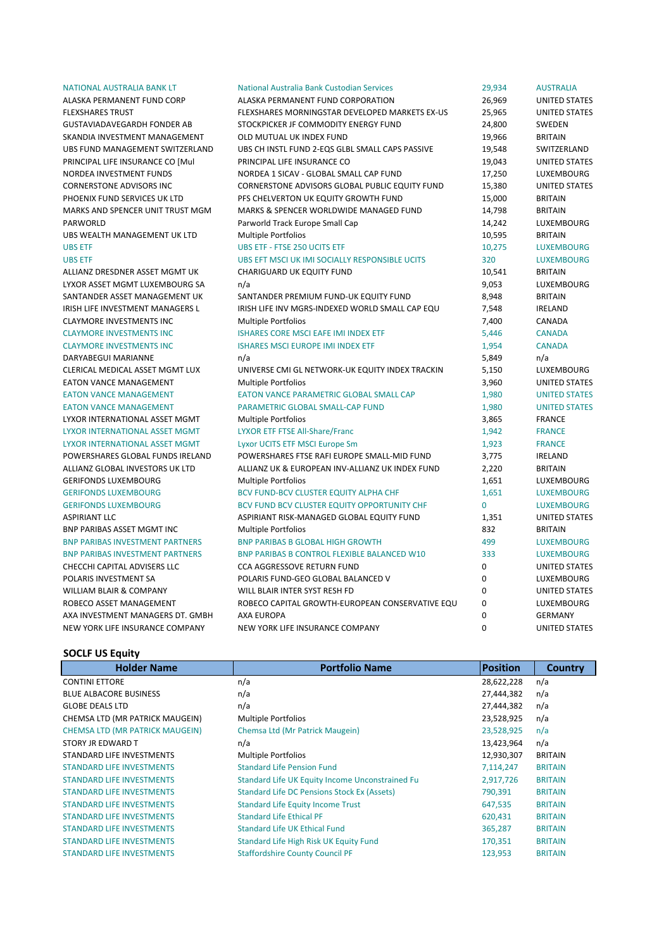| NATIONAL AUSTRALIA BANK LT             | National Australia Bank Custodian Services      | 29,934      | <b>AUSTRALIA</b>     |
|----------------------------------------|-------------------------------------------------|-------------|----------------------|
| ALASKA PERMANENT FUND CORP             | ALASKA PERMANENT FUND CORPORATION               | 26,969      | UNITED STATES        |
| <b>FLEXSHARES TRUST</b>                | FLEXSHARES MORNINGSTAR DEVELOPED MARKETS EX-US  | 25,965      | <b>UNITED STATES</b> |
| GUSTAVIADAVEGARDH FONDER AB            | STOCKPICKER JF COMMODITY ENERGY FUND            | 24,800      | SWEDEN               |
| SKANDIA INVESTMENT MANAGEMENT          | OLD MUTUAL UK INDEX FUND                        | 19,966      | <b>BRITAIN</b>       |
| UBS FUND MANAGEMENT SWITZERLAND        | UBS CH INSTL FUND 2-EQS GLBL SMALL CAPS PASSIVE | 19,548      | SWITZERLAND          |
| PRINCIPAL LIFE INSURANCE CO [Mul       | PRINCIPAL LIFE INSURANCE CO                     | 19,043      | <b>UNITED STATES</b> |
| NORDEA INVESTMENT FUNDS                | NORDEA 1 SICAV - GLOBAL SMALL CAP FUND          | 17,250      | LUXEMBOURG           |
| CORNERSTONE ADVISORS INC               | CORNERSTONE ADVISORS GLOBAL PUBLIC EQUITY FUND  | 15,380      | <b>UNITED STATES</b> |
| PHOENIX FUND SERVICES UK LTD           | PFS CHELVERTON UK EQUITY GROWTH FUND            | 15,000      | <b>BRITAIN</b>       |
| MARKS AND SPENCER UNIT TRUST MGM       | MARKS & SPENCER WORLDWIDE MANAGED FUND          | 14,798      | <b>BRITAIN</b>       |
| PARWORLD                               | Parworld Track Europe Small Cap                 | 14,242      | LUXEMBOURG           |
| UBS WEALTH MANAGEMENT UK LTD           | Multiple Portfolios                             | 10,595      | <b>BRITAIN</b>       |
| <b>UBS ETF</b>                         | <b>UBS ETF - FTSE 250 UCITS ETF</b>             | 10,275      | <b>LUXEMBOURG</b>    |
| <b>UBS ETF</b>                         | UBS EFT MSCI UK IMI SOCIALLY RESPONSIBLE UCITS  | 320         | <b>LUXEMBOURG</b>    |
| ALLIANZ DRESDNER ASSET MGMT UK         | CHARIGUARD UK EQUITY FUND                       | 10,541      | <b>BRITAIN</b>       |
| LYXOR ASSET MGMT LUXEMBOURG SA         | n/a                                             | 9,053       | LUXEMBOURG           |
| SANTANDER ASSET MANAGEMENT UK          | SANTANDER PREMIUM FUND-UK EQUITY FUND           | 8,948       | <b>BRITAIN</b>       |
| IRISH LIFE INVESTMENT MANAGERS L       | IRISH LIFE INV MGRS-INDEXED WORLD SMALL CAP EQU | 7,548       | <b>IRELAND</b>       |
| <b>CLAYMORE INVESTMENTS INC</b>        | <b>Multiple Portfolios</b>                      | 7,400       | CANADA               |
| <b>CLAYMORE INVESTMENTS INC</b>        | ISHARES CORE MSCI EAFE IMI INDEX ETF            | 5,446       | <b>CANADA</b>        |
| <b>CLAYMORE INVESTMENTS INC</b>        | <b>ISHARES MSCI EUROPE IMI INDEX ETF</b>        | 1,954       | <b>CANADA</b>        |
| DARYABEGUI MARIANNE                    | n/a                                             | 5,849       | n/a                  |
| CLERICAL MEDICAL ASSET MGMT LUX        | UNIVERSE CMI GL NETWORK-UK EQUITY INDEX TRACKIN | 5,150       | LUXEMBOURG           |
| <b>EATON VANCE MANAGEMENT</b>          | <b>Multiple Portfolios</b>                      | 3,960       | <b>UNITED STATES</b> |
| <b>EATON VANCE MANAGEMENT</b>          | EATON VANCE PARAMETRIC GLOBAL SMALL CAP         | 1,980       | <b>UNITED STATES</b> |
| <b>EATON VANCE MANAGEMENT</b>          | PARAMETRIC GLOBAL SMALL-CAP FUND                | 1,980       | <b>UNITED STATES</b> |
| LYXOR INTERNATIONAL ASSET MGMT         | Multiple Portfolios                             | 3,865       | <b>FRANCE</b>        |
| LYXOR INTERNATIONAL ASSET MGMT         | <b>LYXOR ETF FTSE All-Share/Franc</b>           | 1,942       | <b>FRANCE</b>        |
| LYXOR INTERNATIONAL ASSET MGMT         | Lyxor UCITS ETF MSCI Europe Sm                  | 1,923       | <b>FRANCE</b>        |
| POWERSHARES GLOBAL FUNDS IRELAND       | POWERSHARES FTSE RAFI EUROPE SMALL-MID FUND     | 3,775       | <b>IRELAND</b>       |
| ALLIANZ GLOBAL INVESTORS UK LTD        | ALLIANZ UK & EUROPEAN INV-ALLIANZ UK INDEX FUND | 2,220       | <b>BRITAIN</b>       |
| <b>GERIFONDS LUXEMBOURG</b>            | <b>Multiple Portfolios</b>                      | 1,651       | LUXEMBOURG           |
| <b>GERIFONDS LUXEMBOURG</b>            | BCV FUND-BCV CLUSTER EQUITY ALPHA CHF           | 1,651       | <b>LUXEMBOURG</b>    |
| <b>GERIFONDS LUXEMBOURG</b>            | BCV FUND BCV CLUSTER EQUITY OPPORTUNITY CHF     | $\Omega$    | <b>LUXEMBOURG</b>    |
| ASPIRIANT LLC                          | ASPIRIANT RISK-MANAGED GLOBAL EQUITY FUND       | 1,351       | <b>UNITED STATES</b> |
| BNP PARIBAS ASSET MGMT INC             | <b>Multiple Portfolios</b>                      | 832         | <b>BRITAIN</b>       |
| <b>BNP PARIBAS INVESTMENT PARTNERS</b> | <b>BNP PARIBAS B GLOBAL HIGH GROWTH</b>         | 499         | <b>LUXEMBOURG</b>    |
| <b>BNP PARIBAS INVESTMENT PARTNERS</b> | BNP PARIBAS B CONTROL FLEXIBLE BALANCED W10     | 333         | <b>LUXEMBOURG</b>    |
| CHECCHI CAPITAL ADVISERS LLC           | <b>CCA AGGRESSOVE RETURN FUND</b>               | 0           | <b>UNITED STATES</b> |
| POLARIS INVESTMENT SA                  | POLARIS FUND-GEO GLOBAL BALANCED V              | 0           | LUXEMBOURG           |
| WILLIAM BLAIR & COMPANY                | WILL BLAIR INTER SYST RESH FD                   | 0           | <b>UNITED STATES</b> |
| ROBECO ASSET MANAGEMENT                | ROBECO CAPITAL GROWTH-EUROPEAN CONSERVATIVE EQU | 0           | LUXEMBOURG           |
| AXA INVESTMENT MANAGERS DT. GMBH       | AXA EUROPA                                      | 0           | <b>GERMANY</b>       |
| NEW YORK LIFE INSURANCE COMPANY        | NEW YORK LIFE INSURANCE COMPANY                 | $\mathbf 0$ | <b>UNITED STATES</b> |
|                                        |                                                 |             |                      |

## **SOCLF US Equity**

| <b>Holder Name</b>                     | <b>Portfolio Name</b>                              | <b>Position</b> | Country        |
|----------------------------------------|----------------------------------------------------|-----------------|----------------|
| <b>CONTINI ETTORE</b>                  | n/a                                                | 28,622,228      | n/a            |
| <b>BLUE ALBACORE BUSINESS</b>          | n/a                                                | 27,444,382      | n/a            |
| <b>GLOBE DEALS LTD</b>                 | n/a                                                | 27,444,382      | n/a            |
| CHEMSA LTD (MR PATRICK MAUGEIN)        | <b>Multiple Portfolios</b>                         | 23,528,925      | n/a            |
| <b>CHEMSA LTD (MR PATRICK MAUGEIN)</b> | Chemsa Ltd (Mr Patrick Maugein)                    | 23,528,925      | n/a            |
| STORY JR EDWARD T                      | n/a                                                | 13,423,964      | n/a            |
| STANDARD LIFE INVESTMENTS              | <b>Multiple Portfolios</b>                         | 12,930,307      | <b>BRITAIN</b> |
| <b>STANDARD LIFE INVESTMENTS</b>       | <b>Standard Life Pension Fund</b>                  | 7,114,247       | <b>BRITAIN</b> |
| <b>STANDARD LIFE INVESTMENTS</b>       | Standard Life UK Equity Income Unconstrained Fu    | 2,917,726       | <b>BRITAIN</b> |
| <b>STANDARD LIFE INVESTMENTS</b>       | <b>Standard Life DC Pensions Stock Ex (Assets)</b> | 790,391         | <b>BRITAIN</b> |
| <b>STANDARD LIFE INVESTMENTS</b>       | <b>Standard Life Equity Income Trust</b>           | 647,535         | <b>BRITAIN</b> |
| <b>STANDARD LIFE INVESTMENTS</b>       | <b>Standard Life Ethical PF</b>                    | 620,431         | <b>BRITAIN</b> |
| <b>STANDARD LIFE INVESTMENTS</b>       | <b>Standard Life UK Ethical Fund</b>               | 365,287         | <b>BRITAIN</b> |
| <b>STANDARD LIFE INVESTMENTS</b>       | Standard Life High Risk UK Equity Fund             | 170,351         | <b>BRITAIN</b> |
| <b>STANDARD LIFE INVESTMENTS</b>       | <b>Staffordshire County Council PF</b>             | 123,953         | <b>BRITAIN</b> |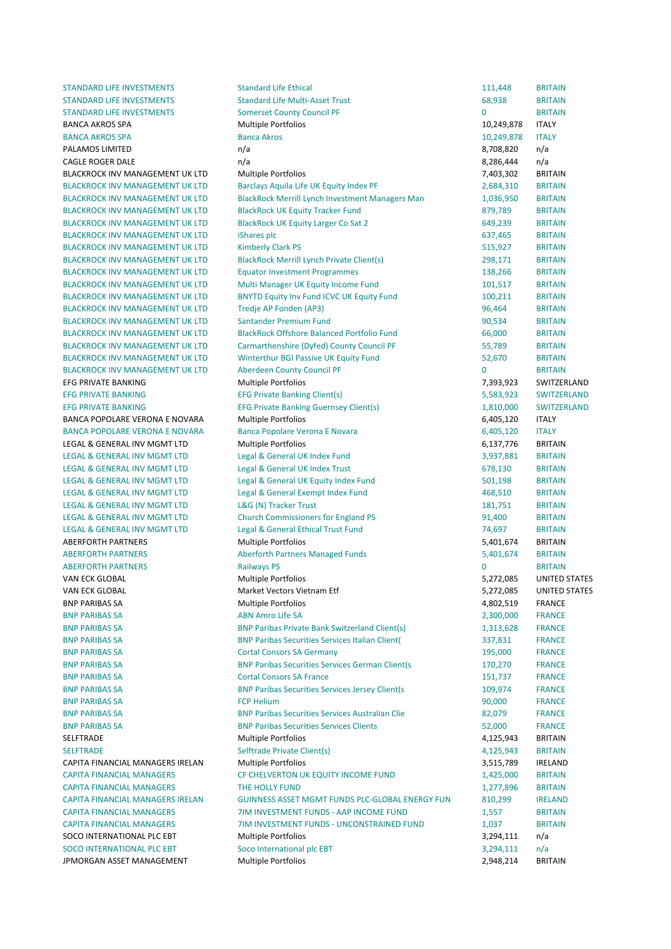STANDARD LIFE INVESTMENTS Standard Life Ethical 111,448 BRITAIN STANDARD LIFE INVESTMENTS Standard Life Multi-Asset Trust 68.938 BRITAIN STANDARD LIFE INVESTMENTS Somerset County Council PF 0 8RITAIN BANCA AKROS SPA COMPUTER CONTROLLER MULTIPLE PORTFOLIOS CONTROLLER TO A CONTROLLER TO A STATE TO A STATE TO A STATE TO A STATE TO A STATE OF TO A STATE OF TO A STATE OF TO A STATE OF TO A STATE OF TO A STATE OF TO A STATE BANCA AKROS SPA BANCA BANCA AKROS BANCA AKROS BANCA AKROS BANCA AKROS BANCA AKROS BANCA AKROS BANCA AKROS BANCA PALAMOS LIMITED **and the contract of the contract of the contract of the contract of the contract of the contract of the contract of the contract of the contract of the contract of the contract of the contract of the contr** CAGLE ROGER DALE **CAGLE ROGER** DALE **and the case of the case of the case of the case of the case of the case of the case of the case of the case of the case of the case of the case of the case of the case of the case of t** BLACKROCK INV MANAGEMENT UK LTD Multiple Portfolios 7,403,302 BRITAIN BLACKROCK INV MANAGEMENT UK LTD Barclays Aquila Life UK Equity Index PF 2,684,310 BRITAIN BLACKROCK INV MANAGEMENT UK LTD BlackRock Merrill Lynch Investment Managers Man 1,036,950 BRITAIN BLACKROCK INV MANAGEMENT UK LTD BlackRock UK Equity Tracker Fund 879,789 BRITAIN BLACKROCK INV MANAGEMENT UK LTD BlackRock UK Equity Larger Co Sat 2 649,239 BRITAIN BLACKROCK INV MANAGEMENT UK LTD iShares plc 637,465 BRITAIN BLACKROCK 
 INV 
 MANAGEMENT 
 UK 
 LTD Kimberly 
 Clark 
 PS 515,927 BRITAIN BLACKROCK INV MANAGEMENT UK LTD BlackRock Merrill Lynch Private Client(s) 298,171 BRITAIN BLACKROCK INV MANAGEMENT UK LTD Equator Investment Programmes 138,266 BRITAIN BLACKROCK INV MANAGEMENT UK LTD Multi Manager UK Equity Income Fund 101,517 BRITAIN BLACKROCK INV MANAGEMENT UK LTD BNYTD Equity Inv Fund ICVC UK Equity Fund 100,211 BRITAIN BLACKROCK INV MANAGEMENT UK LTD Tredje AP Fonden (AP3) 96,464 BRITAIN BLACKROCK INV MANAGEMENT UK LTD Santander Premium Fund Santander And Santander Sentence of the SRITAIN BLACKROCK INV MANAGEMENT LIK LTD BlackRock Offshore Balanced Portfolio Fund 66,000 BRITAIN BLACKROCK INV MANAGEMENT UK LTD Carmarthenshire (Dyfed) County Council PF 55,789 BRITAIN BLACKROCK INV MANAGEMENT UK LTD Winterthur BGI Passive UK Equity Fund 52,670 BRITAIN BLACKROCK INV MANAGEMENT UK LTD Aberdeen County Council PF 0 8RITAIN EFG PRIVATE BANKING **EXAMPLE SERVITS AND THE SERVIT SERVITS AND MULTIPLE PORTFOLIOS CONTRACT SERVITZERLAND** EFG PRIVATE BANKING **EFG Private Banking Client(s)** 5,583,923 SWITZERLAND EFG PRIVATE BANKING **EFG Private Banking Guernsey Client(s)** 1,810,000 SWITZERLAND BANCA POPOLARE VERONA E NOVARA Multiple Portfolios and the state of the control of the fact of the fact of the multiple Portfolios and the control of the fact of the control of the control of the control of the control of BANCA POPOLARE VERONA E NOVARA Banca Popolare Verona E Novara 6,405,120 ITALY LEGAL & GENERAL INV MGMT LTD Multiple Portfolios 6.137.776 BRITAIN LEGAL & GENERAL INV MGMT LTD Legal & General UK Index Fund 3,937,881 BRITAIN LEGAL & GENERAL INV MGMT LTD Legal & General UK Index Trust 678,130 BRITAIN LEGAL & GENERAL INV MGMT LTD Legal & General UK Equity Index Fund 501,198 BRITAIN LEGAL & GENERAL INV MGMT LTD Legal & General Exempt Index Fund 468,510 BRITAIN LEGAL & GENERAL INV MGMT LTD LAG (N) Tracker Trust 181,751 BRITAIN LEGAL & GENERAL INV MGMT LTD Church Commissioners for England PS 91,400 BRITAIN LEGAL & GENERAL INV MGMT LTD Legal & General Ethical Trust Fund 74,697 BRITAIN ABERFORTH PARTNERS **Example 2018 Multiple Portfolios** 65,401,674 BRITAIN ABERFORTH PARTNERS 
Aberforth Partners Managed Funds **S.401.674** BRITAIN ABERFORTH PARTNERS **Example 20 BRITAIN** Railways PS 0 8RITAIN VAN ECK GLOBAL CONTENTS ON THE MULTIPLE PORTFOLIOS CONTENTS ON THE STATES SAND THE STATES ON THE STATES VAN ECK GLOBAL CONTEXANT Market Vectors Vietnam Etf 5,272,085 UNITED STATES BNP PARIBAS SA **Example 2008** Multiple Portfolios **1.802.519** FRANCE BNP PARIBAS SA **BRITAIN AMRIEUS ARE A CONTACT A CONTACT A CONTACT A CONTACT A CONTACT A CONTACT A CONTACT A CONTACT A CONTACT A CONTACT A CONTACT A CONTACT A CONTACT A CONTACT A CONTACT A CONTACT A CONTACT A CONTACT A CONT** BNP PARIBAS SA **BNP Paribas Private Bank Switzerland Client**(s) 1,313,628 FRANCE BNP PARIBAS SA **BNP Paribas Securities Services Italian Client** (337,831 FRANCE **BNP PARIBAS SA CORTAL CONSORS SA Germany 195,000 FRANCE** BNP PARIBAS SA **BNP Paribas Securities Services German Client(s** 170,270 FRANCE BNP PARIBAS SA **Example 20 France Cortal Consors SA France 151,737** FRANCE BNP PARIBAS SA **BNP Paribas Securities Services Jersey Client** (s 109,974 FRANCE BNP PARIBAS SA FRANCE CONTROL FOR Helium FCP Helium Technology (SOUTHERANCE SA FRANCE BNP PARIBAS SA BNP Paribas Securities Services Australian Clie 82,079 FRANCE BNP PARIBAS SA **EXECUTE: Securities Securities Services Clients** 52,000 FRANCE SELFTRADE Multiple 
 Portfolios 4,125,943 BRITAIN SELFTRADE SELFTRADE Selftrade Private Client(s) 31 and 3125,943 BRITAIN CAPITA FINANCIAL MANAGERS IRELAN Multiple Portfolios and the state of the state of the state of the state of the state of the state of the state of the state of the state of the state of the state of the state of the state CAPITA FINANCIAL MANAGERS CF CHELVERTON UK EQUITY INCOME FUND 1,425,000 BRITAIN **CAPITA FINANCIAL MANAGERS** THE HOLLY FUND THE HOLLY AND THE HOLLY TO THE HOLLY AND THE TOOL OF THE HOLLY FUND THE TOOL OF THE HOLLY FUND THE TOOL OF THE HOLLY FUND THE TOOL OF THE TOOL OF THE TOOL OF THE TOOL OF THE TOOL CAPITA FINANCIAL MANAGERS IRELAN GUINNESS ASSET MGMT FUNDS PLC-GLOBAL ENERGY FUN 810,299 IRELAND CAPITA FINANCIAL MANAGERS THE TIM INVESTMENT FUNDS - AAP INCOME FUND 1,557 BRITAIN CAPITA FINANCIAL MANAGERS THE TIM INVESTMENT FUNDS - UNCONSTRAINED FUND 1,037 BRITAIN SOCO INTERNATIONAL PLC EBT Multiple Portfolios and the state of the 3.294.111 n/a SOCO INTERNATIONAL PLC EBT Soco International plc EBT 3,294,111 n/a **JPMORGAN ASSET MANAGEMENT** Multiple Portfolios **1998** 2008 2008 2014 BRITAIN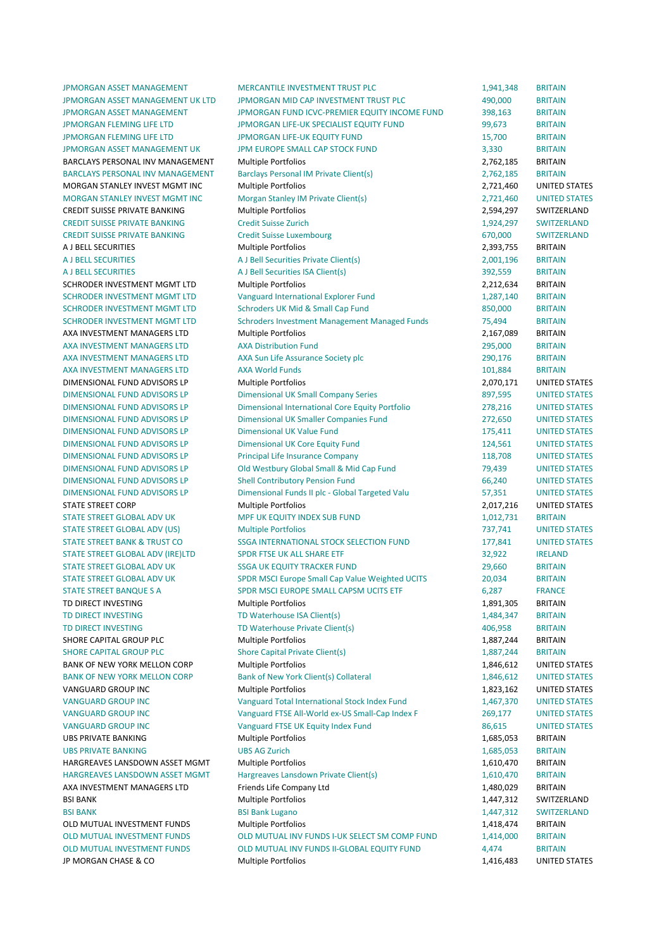JPMORGAN ASSET MANAGEMENT MERCANTILE INVESTMENT TRUST PLC 1,941,348 BRITAIN JP MORGAN CHASE & CO **Multiple Portfolios** 1,416,483 UNITED STATES

JPMORGAN ASSET MANAGEMENT UK LTD JPMORGAN MID CAP INVESTMENT TRUST PLC 490,000 BRITAIN JPMORGAN ASSET MANAGEMENT **The MANAGEMENT SERVIC AREA CONTACT AND ACT AND ASSET AND ASSET AND ARTITAIN IPMORGAN FLEMING LIFE LTD THE LIFE OF A SET AND THE LIFE OF A SET AND SET AND SET AND SET ARITAIN IPMORGAN FLEMING LIFE LTD THE SERVICE OF A SERVICE SERVICE OF A SET AND SERVICE SERVICE SERVICE SERVICE SERVICE** JPMORGAN ASSET MANAGEMENT UK FUROPE SMALL CAP STOCK FUND 3,330 BRITAIN BARCLAYS PERSONAL INV MANAGEMENT Multiple Portfolios and the contract of the contract of the portfolios of the contract of the contract of the contract of the contract of the contract of the contract of the contract of the BARCLAYS PERSONAL INV MANAGEMENT Barclays Personal IM Private Client(s) 2,762,185 BRITAIN MORGAN STANLEY INVEST MGMT INC Multiple Portfolios and the states and the states are provided as a state of the Multiple Portfolios and the states are provided as a state of the states of the states and the states of the s MORGAN STANLEY INVEST MGMT INC Morgan Stanley IM Private Client(s) 2,721,460 UNITED STATES CREDIT SUISSE PRIVATE BANKING Multiple Portfolios and the control of the control of the control of the control of the control of the control of the control of the control of the control of the control of the control of the CREDIT SUISSE PRIVATE BANKING Credit Suisse Zurich 1,924,297 SWITZERLAND CREDIT SUISSE PRIVATE RANKING Credit Suisse Luxembourg CREDIT CONDUCTS AND SWITZERLAND A J BELL SECURITIES **EXECURITIES SECURITIES SECURITIES EXECURITIES EXECURITIES EXECURITIES EXECURITIES** A J BELL SECURITIES A J Bell Securities Private Client(s) 2,001,196 BRITAIN A J BELL SECURITIES **BRITAIN A** J Bell Securities ISA Client(s) 392,559 BRITAIN SCHRODER INVESTMENT MGMT LTD Multiple Portfolios **1.2006 1.2006 1.2006 2.212,634 BRITAIN** SCHRODER INVESTMENT MGMT LTD Vanguard International Explorer Fund 1,287,140 BRITAIN SCHRODER INVESTMENT MGMT LTD Schroders UK Mid & Small Cap Fund 850,000 BRITAIN SCHRODER INVESTMENT MGMT LTD Schroders Investment Management Managed Funds 75,494 BRITAIN AXA INVESTMENT MANAGERS LTD Multiple Portfolios and a series of the control of the 2,167,089 BRITAIN AXA INVESTMENT MANAGERS ITD AXA Distribution Fund 295,000 BRITAIN AXA INVESTMENT MANAGERS LTD AXA Sun Life Assurance Society plc 290,176 BRITAIN AXA INVESTMENT MANAGERS LTD AXA World Funds 101,884 BRITAIN DIMENSIONAL FUND ADVISORS LP Multiple Portfolios and the controller controller and the controller controller matter of the controller controller controller controller controller controller controller controller controller DIMENSIONAL FUND ADVISORS LP Dimensional UK Small Company Series 897,595 UNITED STATES DIMENSIONAL FUND ADVISORS LP **Dimensional International Core Equity Portfolio** 278,216 UNITED STATES DIMENSIONAL FUND ADVISORS LP **Dimensional UK Smaller Companies Fund 272,650** UNITED STATES DIMENSIONAL FUND ADVISORS LP Dimensional UK Value Fund 175,411 UNITED STATES DIMENSIONAL FUND ADVISORS LP Dimensional UK Core Equity Fund 124,561 UNITED STATES DIMENSIONAL FUND ADVISORS LP **Trincipal Life Insurance Company** 118,708 UNITED STATES DIMENSIONAL FUND ADVISORS LP Old Westbury Global Small & Mid Cap Fund 79,439 UNITED STATES DIMENSIONAL FUND ADVISORS LP Shell Contributory Pension Fund 66,240 UNITED STATES DIMENSIONAL FUND ADVISORS LP Dimensional Funds II plc - Global Targeted Valu 57,351 UNITED STATES STATE 
 STREET 
 CORP Multiple 
 Portfolios 2,017,216 UNITED 
 STATES STATE STREET GLOBAL ADV UK **MPF UK EQUITY INDEX SUB FUND** 1,012,731 BRITAIN STATE 
 STREET 
 GLOBAL 
 ADV 
 (US) Multiple 
 Portfolios 737,741 UNITED 
 STATES STATE STREET RANK & TRUST CO SSGA INTERNATIONAL STOCK SELECTION FUND 177 841 UNITED STATES STATE STREET GLOBAL ADV (IRE)LTD SPDR FTSE UK ALL SHARE ETF SERIES AND STREET STREET STREET STREET STREET STREET STREET STREET STREET STREET STREET STREET STREET STREET STREET STREET STREET STREET STREET STREET STREET STRE STATE 
 STREET 
 GLOBAL 
 ADV 
 UK SSGA 
 UK 
 EQUITY 
 TRACKER 
 FUND 29,660 BRITAIN STATE STREET GLOBAL ADV UK SPDR MSCI Europe Small Cap Value Weighted UCITS 20,034 BRITAIN STATE STREET BANQUE S A SPDR MSCI EUROPE SMALL CAPSM UCITS ETF 6,287 FRANCE TD DIRECT INVESTING **CONTAING** Multiple Portfolios **1,891,305** BRITAIN TD DIRECT INVESTING TD Waterhouse ISA Client(s) 1,484,347 BRITAIN TD DIRECT INVESTING TO Waterhouse Private Client(s) 406,958 BRITAIN SHORE CAPITAL GROUP PLC **Multiple Portfolios** 1,887,244 BRITAIN SHORE CAPITAL GROUP PLC Shore Capital Private Client(s) 1,887,244 BRITAIN BANK OF NEW YORK MELLON CORP Multiple Portfolios and the matter of the multiple of the Multiple Portfolios and the matter of the multiple portfolios and the matter of the multiple portfolios and the matter of the matter of BANK OF NEW YORK MELLON CORP Bank of New York Client(s) Collateral 1,846,612 UNITED STATES VANGUARD GROUP INC **Multiple Portfolios** 1,823,162 UNITED STATES VANGUARD GROUP INC **STATES** Vanguard Total International Stock Index Fund 1,467,370 UNITED STATES VANGUARD GROUP INC CONTROL CONSUMING THE All-World ex-US Small-Cap Index F 269,177 UNITED STATES VANGUARD GROUP INC **STATES** Vanguard FTSE UK Equity Index Fund 86,615 UNITED STATES UBS 
 PRIVATE 
 BANKING Multiple 
 Portfolios 1,685,053 BRITAIN UBS 
 PRIVATE 
 BANKING UBS 
 AG 
 Zurich 1,685,053 BRITAIN HARGREAVES LANSDOWN ASSET MGMT Multiple Portfolios and the method of the matter of the matter of the method of the method of the method of the method of the method of the method of the method of the method of the method of HARGREAVES LANSDOWN ASSET MGMT Hargreaves Lansdown Private Client(s) 1,610,470 BRITAIN AXA INVESTMENT MANAGERS LTD Friends Life Company Ltd 1,480,029 BRITAIN BSI BANK SALL SWITZERLAND Multiple Portfolios Sall And the Multiple of the Multiple Portfolios SWITZERLAND SWITZERLAND BSI BANK **BRI BANK BERGE BANK LUGANO BERGE BERGE BANK** BERGE BANK BERGE BANK BERGE BANK BERGE BANK BERGE BANK BE OLD MUTUAL INVESTMENT FUNDS Multiple Portfolios and the control of the control of the control of the control of the control of the control of the control of the control of the control of the control of the control of the c OLD MUTUAL INVESTMENT FUNDS OLD MUTUAL INV FUNDS I-UK SELECT SM COMP FUND 1,414,000 BRITAIN OLD MUTUAL INVESTMENT FUNDS (OLD MUTUAL INV FUNDS II-GLOBAL EQUITY FUND 4.474 BRITAIN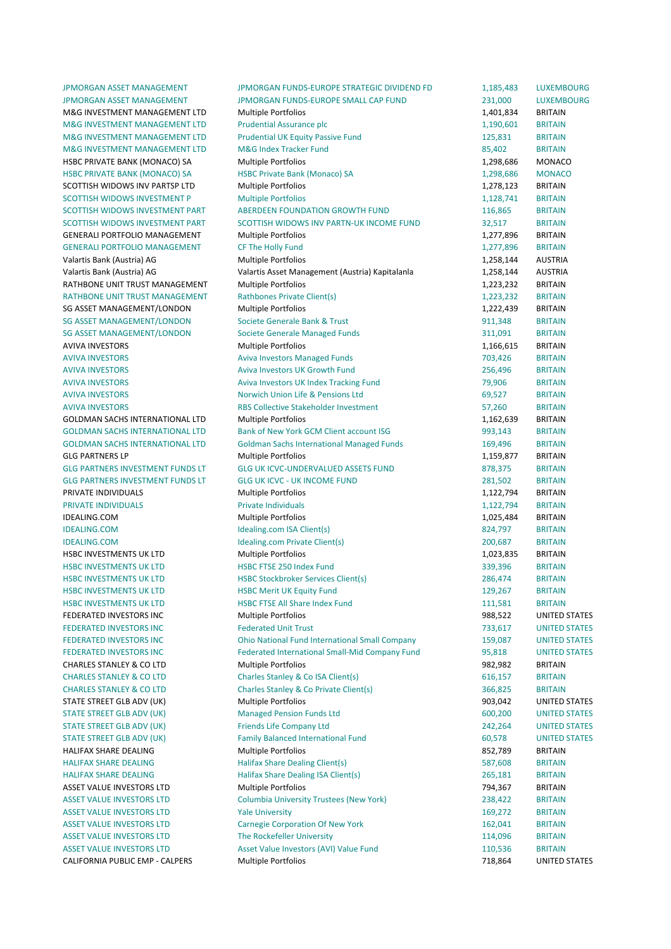JPMORGAN ASSET MANAGEMENT JPMORGAN FUNDS-EUROPE STRATEGIC DIVIDEND FD 1,185,483 LUXEMBOURG JPMORGAN ASSET MANAGEMENT JPMORGAN FUNDS-EUROPE SMALL CAP FUND 231,000 LUXEMBOURG M&G INVESTMENT MANAGEMENT LTD Multiple Portfolios and the method of the multiple of the match of the multiple Portfolios and the multiple portfolios and the multiple portfolios and the multiple portfolios and the multiple M&G INVESTMENT MANAGEMENT LTD Prudential Assurance plc 1.190,601 BRITAIN M&G INVESTMENT MANAGEMENT LTD Prudential UK Equity Passive Fund 125,831 BRITAIN M&G INVESTMENT MANAGEMENT LTD M&G Index Tracker Fund 85.402 BRITAIN HSBC PRIVATE BANK (MONACO) SA Multiple Portfolios and the state of the state of the MONACO HSBC PRIVATE BANK (MONACO) SA 
HSBC Private Bank (Monaco) SA 
1.298.686 
MONACO SCOTTISH WIDOWS INV PARTSP LTD Multiple Portfolios and the match of the multiple of the match of the match of the match of the match of the match of the match of the match of the match of the match of the match of the matc SCOTTISH WIDOWS INVESTMENT P Multiple Portfolios 1,128,741 BRITAIN SCOTTISH WIDOWS INVESTMENT PART ABERDEEN FOUNDATION GROWTH FUND 116,865 BRITAIN SCOTTISH WIDOWS INVESTMENT PART SCOTTISH WIDOWS INV PARTN-UK INCOME FUND 32.517 BRITAIN GENERALI PORTFOLIO MANAGEMENT Multiple Portfolios and the manufacture of the 1,277,896 BRITAIN GENERALI 
 PORTFOLIO 
 MANAGEMENT CF 
 The 
 Holly 
 Fund 1,277,896 BRITAIN Valartis Bank (Austria) AG **Multiple Portfolios** 1,258,144 AUSTRIA Valartis Bank (Austria) AG Capitalan in Management (Austria) Kapitalanla Capitalan in Management (Austria) Kustria RATHBONE UNIT TRUST MANAGEMENT Multiple Portfolios and the matter of the matter of the 1,223,232 BRITAIN RATHBONE UNIT TRUST MANAGEMENT Rathbones Private Client(s) 1,223,232 BRITAIN SG ASSET MANAGEMENT/LONDON Multiple Portfolios 1,222,439 BRITAIN SG ASSET MANAGEMENT/LONDON Societe Generale Bank & Trust 1999 1999 11,348 BRITAIN SG ASSET MANAGEMENT/LONDON Societe Generale Managed Funds 311,091 BRITAIN AVIVA INVESTORS **EXECUTE A CONSUMING PROPERTY AND A CONSUMING PORTFOLIOS 1,166,615** BRITAIN AVIVA 
 INVESTORS Aviva 
 Investors 
 Managed 
 Funds 703,426 BRITAIN AVIVA INVESTORS BRITAIN Aviva Investors UK Growth Fund 256,496 BRITAIN AVIVA INVESTORS **BRITAIN Aviva Investors UK Index Tracking Fund 79,906 BRITAIN** AVIVA INVESTORS BRITAIN CONTROLLED MONOKICHL Union Life & Pensions Ltd 69,527 BRITAIN AVIVA INVESTORS BRITAIN RES Collective Stakeholder Investment 57,260 BRITAIN GOLDMAN SACHS INTERNATIONAL LTD Multiple Portfolios and the state of the state of the state of the state of the Multiple Portfolios and the state of the state of the state of the state of the state of the state of the stat GOLDMAN SACHS INTERNATIONAL LTD Bank of New York GCM Client account ISG 993,143 BRITAIN GOLDMAN SACHS INTERNATIONAL LTD Goldman Sachs International Managed Funds 169.496 BRITAIN GLG 
 PARTNERS 
 LP Multiple 
 Portfolios 1,159,877 BRITAIN GLG PARTNERS INVESTMENT FUNDS LT GLG UK ICVC-UNDERVALUED ASSETS FUND 878,375 BRITAIN GLG PARTNERS INVESTMENT FUNDS LT GLG UK ICVC - UK INCOME FUND CONTRACT THE SALL SOLUTION AND RESERVE AND RESERVE PRIVATE INDIVIDUALS **EXECUTE OF A CONSECUTE CONTAINER A CONSECUTE A CONSECUTE A CONSECUTE A CONSECUTE A PRITAIN** PRIVATE INDIVIDUALS **EXECUTE A PROPERTIES ASSESSED ASSESSED A** PRIVATE INDIVIDUALS **PRITAIN** IDEALING.COM Multiple 
 Portfolios 1,025,484 BRITAIN IDEALING.COM BRITAIN Idealing.com ISA Client(s) 824,797 BRITAIN IDEALING.COM Idealing.com 
 Private 
 Client(s) 200,687 BRITAIN HSBC 
 INVESTMENTS 
 UK 
 LTD Multiple 
 Portfolios 1,023,835 BRITAIN HSBC 
 INVESTMENTS 
 UK 
 LTD HSBC 
 FTSE 
 250 
 Index 
 Fund 339,396 BRITAIN HSBC INVESTMENTS UK LTD HSBC Stockbroker Services Client(s) 286,474 BRITAIN HSBC INVESTMENTS UK LTD HSBC Merit UK Equity Fund 129,267 BRITAIN HSBC INVESTMENTS UK LTD HSBC FTSE All Share Index Fund 111,581 BRITAIN FEDERATED INVESTORS INC **Subset of Multiple Portfolios 1988,522** UNITED STATES FEDERATED INVESTORS INC Federated Unit Trust Trust Trust 733,617 UNITED STATES FEDERATED INVESTORS INC **CONTAINS TO CHE CONTAINS CONTAINS THE CONTAINS ON A STATES** CONTROLLED STATES FEDERATED INVESTORS INC Federated International Small-Mid Company Fund 95,818 UNITED STATES CHARLES STANLEY & CO LTD Multiple Portfolios and the state of the state of the state of the S82,982 BRITAIN CHARLES STANLEY & CO LTD Charles Stanley & Co ISA Client(s) 616,157 BRITAIN CHARLES STANLEY & CO LTD Charles Stanley & Co Private Client(s) 366,825 BRITAIN STATE STREET GLB ADV (UK) Multiple Portfolios 600 003,042 UNITED STATES STATE STREET GLB ADV (UK) Managed Pension Funds Ltd 600,200 UNITED STATES STATE STREET GLB ADV (UK) Friends Life Company Ltd 242,264 UNITED STATES STATE STREET GLB ADV (UK) Family Balanced International Fund 60,578 UNITED STATES HALIFAX SHARE DEALING **Share Community Controllering Controllering** Multiple Portfolios **852,789 BRITAIN** HALIFAX SHARE DEALING **Share Dealing Client(s)** 587,608 BRITAIN HALIFAX SHARE DEALING **Halifax Share Dealing ISA Client**(s) **265,181** BRITAIN ASSET VALUE INVESTORS LTD Multiple Portfolios and the matter of the matter of the Multiple Portfolios and the matter of the matter of the matter of the matter of the matter of the matter of the matter of the matter of the ASSET VALUE INVESTORS LTD Columbia University Trustees (New York) 238,422 BRITAIN ASSET VALUE INVESTORS LTD THE Vale University The Contract of the Contract of the Contract of the Partial Property ASSET VALUE INVESTORS LTD Carnegie Corporation Of New York 162,041 BRITAIN ASSET VALUE INVESTORS LTD The Rockefeller University and the matter of the 114,096 BRITAIN ASSET VALUE INVESTORS LTD Asset Value Investors (AVI) Value Fund 110,536 BRITAIN CALIFORNIA PUBLIC EMP - CALPERS Multiple Portfolios 718,864 UNITED STATES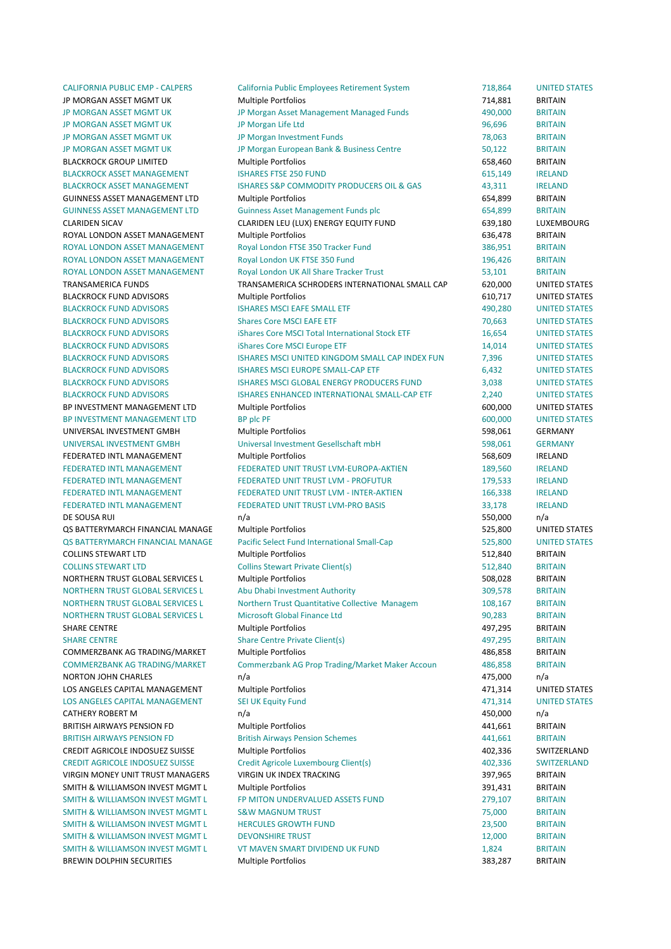BREWIN DOLPHIN SECURITIES Multiple Portfolios and the state of the state of the state of the state of the state of the state of the state of the state of the state of the state of the state of the state of the state of the

CALIFORNIA PUBLIC EMP - CALPERS California Public Employees Retirement System 718,864 UNITED STATES JP MORGAN ASSET MGMT UK **Multiple Portfolios CONFINITY CONTRACT ACCOUNT ACCOUNT ACCOUNT ACCOUNT ACCOUNT ACCOUNT** JP MORGAN ASSET MGMT UK **Same The Morgan Asset Management Managed Funds** 490,000 BRITAIN JP MORGAN ASSET MGMT UK THE MORGAN UP Morgan Life Ltd The Company of the Company of the Company of the Company of the Company of the Company of the Company of the Company of the Company of the Company of the Company of the JP MORGAN ASSET MGMT UK **The Morgan Investment Funds** 78,063 BRITAIN JP MORGAN ASSET MGMT UK **Subsidiary Contract Centre** 50,122 BRITAIN BLACKROCK GROUP LIMITED Multiple Portfolios 658,460 BRITAIN BLACKROCK ASSET MANAGEMENT **ISHARES FTSE 250 FUND 615,149** 615,149 IRELAND BLACKROCK ASSET MANAGEMENT ISHARES S&P COMMODITY PRODUCERS OIL & GAS 43,311 IRELAND GUINNESS ASSET MANAGEMENT LTD Multiple Portfolios 654,899 BRITAIN GUINNESS ASSET MANAGEMENT LTD Guinness Asset Management Funds plc 654,899 BRITAIN CLARIDEN SICAV CLARIDEN LEU (LUX) ENERGY EQUITY FUND 639,180 LUXEMBOURG ROYAL LONDON ASSET MANAGEMENT Multiple Portfolios and the control of the G36,478 BRITAIN ROYAL LONDON ASSET MANAGEMENT Royal London FTSE 350 Tracker Fund 386,951 BRITAIN ROYAL LONDON ASSET MANAGEMENT Royal London UK FTSE 350 Fund 196,426 BRITAIN ROYAL LONDON ASSET MANAGEMENT Royal London UK All Share Tracker Trust 53.101 BRITAIN TRANSAMERICA FUNDS TRANSAMERICA SCHRODERS INTERNATIONAL SMALL CAP 620,000 UNITED STATES BLACKROCK FUND ADVISORS Multiple Portfolios 610,717 UNITED STATES BLACKROCK FUND ADVISORS THE STATES ISHARES MSCI EAFE SMALL ETF THE THE MALL ASSAULT A 490,280 UNITED STATES BLACKROCK FUND ADVISORS Shares Core MSCI EAFE ETF **1996 100 CORES 100 CORES 100 CORES 100 CORES** 100 CORES 100 COR BLACKROCK FUND ADVISORS iShares Core MSCI Total International Stock ETF 16,654 UNITED STATES BLACKROCK FUND ADVISORS **in the STATES** Shares Core MSCI Furope FTF **14,014** UNITED STATES BLACKROCK FUND ADVISORS **ISHARES MSCI UNITED KINGDOM SMALL CAP INDEX FUN** 7,396 UNITED STATES BLACKROCK 
 FUND 
 ADVISORS ISHARES 
 MSCI 
 EUROPE 
 SMALL-‐CAP 
 ETF 6,432 UNITED 
 STATES BLACKROCK FUND ADVISORS **STATES** ISHARES MSCI GLOBAL ENERGY PRODUCERS FUND 3,038 UNITED STATES BLACKROCK FUND ADVISORS SALL AND STATES ENHANCED INTERNATIONAL SMALL-CAP ETF 2,240 UNITED STATES BP INVESTMENT MANAGEMENT LTD Multiple Portfolios 600,000 UNITED STATES BP INVESTMENT MANAGEMENT LTD BP DIC PF AND SOLUTION CONTROL CONTROL BOO.000 UNITED STATES UNIVERSAL 
 INVESTMENT 
 GMBH Multiple 
 Portfolios 598,061 GERMANY UNIVERSAL INVESTMENT GMBH Universal Investment Gesellschaft mbH 598,061 GERMANY FEDERATED INTL MANAGEMENT **Multiple Portfolios** and the state of the state of the state of the state of the state of the state of the state of the state of the state of the state of the state of the state of the state of t FEDERATED INTL MANAGEMENT FEDERATED UNIT TRUST LVM-EUROPA-AKTIEN 189,560 IRELAND FEDERATED INTL MANAGEMENT FEDERATED UNIT TRUST LVM - PROFUTUR THE 179.533 IRELAND FEDERATED INTL MANAGEMENT FEDERATED UNIT TRUST LVM - INTER-AKTIEN 166,338 IRELAND FEDERATED INTL MANAGEMENT FEDERATED UNIT TRUST LVM-PRO BASIS 33.178 IRELAND DE SOUSA RUI مات المستقلة المستقلة المستقلة المستقلة المستقلة المستقلة المستقلة المستقلة المستقلة المستقلة المستقلة OS BATTERYMARCH FINANCIAL MANAGE Multiple Portfolios 625,800 UNITED STATES QS BATTERYMARCH FINANCIAL MANAGE Pacific Select Fund International Small-Cap 525,800 UNITED STATES COLLINS STEWART LTD **STEWART LTD** Multiple Portfolios **1996 12:00 Multiple Portfolios** 512,840 BRITAIN COLLINS STEWART LTD Collins Stewart Private Client(s) 512,840 BRITAIN NORTHERN TRUST GLOBAL SERVICES L Multiple Portfolios CONTROL CONTROL CONTROL SO SO BRITAIN NORTHERN TRUST GLOBAL SERVICES L Abu Dhabi Investment Authority 1995 199578 BRITAIN NORTHERN TRUST GLOBAL SERVICES L Morthern Trust Quantitative Collective Managem 108,167 BRITAIN NORTHERN TRUST GLOBAL SERVICES L Microsoft Global Finance Ltd 90.283 BRITAIN SHARE CENTRE **SHARE CENTRE SHARE CENTRE Multiple Portfolios All CENTRE All CENTRE BRITAIN** SHARE CENTRE Share Centre Private Client(s) 6 (SHARE CENTRE SHARE CENTRAIN COMMERZBANK AG TRADING/MARKET Multiple Portfolios and the state of the 486,858 BRITAIN COMMERZBANK AG TRADING/MARKET Commerzbank AG Prop Trading/Market Maker Accoun 486,858 BRITAIN NORTON JOHN CHARLES **n/a** and a n/a and a control of the control of the control of the control of the control of the control of the control of the control of the control of the control of the control of the control of the LOS ANGELES CAPITAL MANAGEMENT Multiple Portfolios and a statement of the distance of the distance of the distance of the distance of the distance of the distance of the distance of the distance of the distance of the dist LOS ANGELES CAPITAL MANAGEMENT SEI UK Equity Fund 471,314 UNITED STATES CATHERY 
 ROBERT 
 M n/a 450,000 n/a BRITISH AIRWAYS PENSION FD Multiple Portfolios and the matter of the 441,661 BRITAIN BRITISH AIRWAYS PENSION FD **British Airways Pension Schemes** 441,661 BRITAIN CREDIT AGRICOLE INDOSUEZ SUISSE Multiple Portfolios 402.336 SWITZERLAND CREDIT AGRICOLE INDOSUEZ SUISSE Credit Agricole Luxembourg Client(s) 402,336 SWITZERLAND VIRGIN MONEY UNIT TRUST MANAGERS VIRGIN UK INDEX TRACKING **1988 CONTAING 397,965** BRITAIN SMITH & WILLIAMSON INVEST MGMT L Multiple Portfolios and the state of the state of the state of the state of the state of the state of the state of the state of the state of the state of the state of the state of the state SMITH & WILLIAMSON INVEST MGMT L FP MITON UNDERVALUED ASSETS FUND 279,107 BRITAIN SMITH & WILLIAMSON INVEST MGMT L SAW MAGNUM TRUST AND CONTROLLED THE SAME TO PRITAIN SMITH & WILLIAMSON INVEST MGMT L HERCULES GROWTH FUND **1999 CONTAINMENT CONTAINMENT CONTAINMENT** 23,500 BRITAIN SMITH & WILLIAMSON INVEST MGMT L DEVONSHIRE TRUST A MALE CONTROL CONTRACT THE SALE OF A RESERVE AND RESERVE AND THE SALE OF A RESERVE AND LOT A RESERVE AND LOT AND RESERVE A MALE OF A RESERVE AND LOT AND LOT AND LOT A RESE SMITH & WILLIAMSON INVEST MGMT L THE MAVEN SMART DIVIDEND UK FUND THE SAME ARRITAIN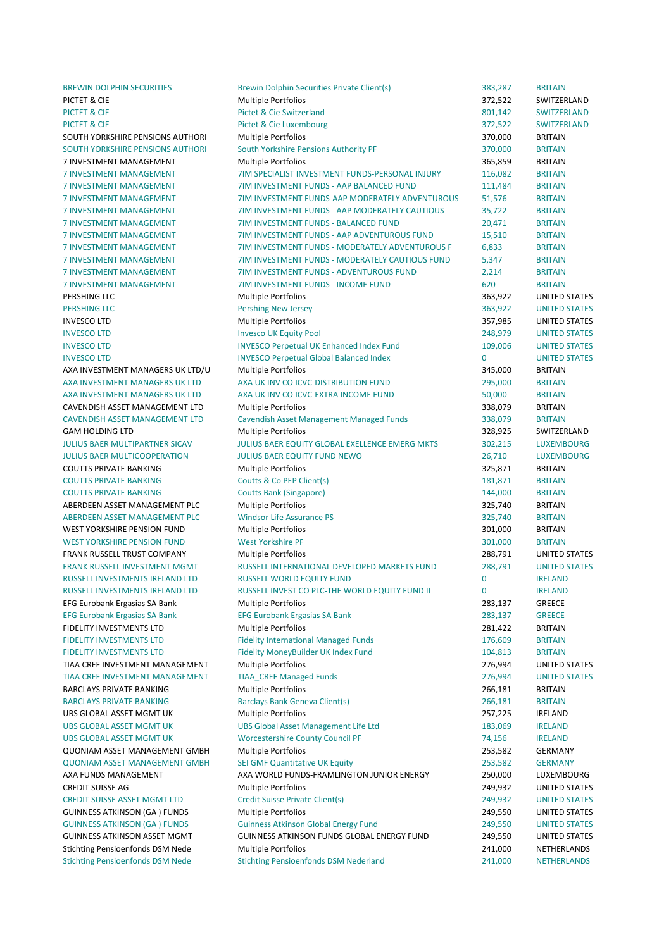BREWIN DOLPHIN SECURITIES Brewin Dolphin Securities Private Client(s) 383,287 BRITAIN

PICTET & CIE SALLER SOLL EN ANGLICIO MUltiple Portfolios STATES AND THE STATE SWITZERLAND PICTET & CIE Switzerland 801,142 SWITZERLAND 801,142 SWITZERLAND PICTET & CIE **Subset A CIE** Pictet & Cie Luxembourg **372,522** SWITZERLAND SOUTH YORKSHIRE PENSIONS AUTHORI Multiple Portfolios and the state of the state of the state of the state of the state of the state of the state of the state of the state of the state of the state of the state of the state SOUTH YORKSHIRE PENSIONS AUTHORI South Yorkshire Pensions Authority PF 370,000 BRITAIN 7 INVESTMENT MANAGEMENT Multiple Portfolios 6 and 1995,859 BRITAIN 7 INVESTMENT MANAGEMENT TIM SPECIALIST INVESTMENT FUNDS-PERSONAL INJURY 116.082 BRITAIN 7 INVESTMENT MANAGEMENT THIS TIM INVESTMENT FUNDS - AAP BALANCED FUND THIS 111,484 BRITAIN 7 INVESTMENT MANAGEMENT 7 TIM INVESTMENT FUNDS-AAP MODERATELY ADVENTUROUS 51,576 BRITAIN 7 INVESTMENT MANAGEMENT **TIM INVESTMENT FUNDS - AAP MODERATELY CAUTIOUS** 35,722 BRITAIN 7 INVESTMENT MANAGEMENT TIM INVESTMENT FUNDS - BALANCED FUND 20.471 BRITAIN 7 INVESTMENT MANAGEMENT THINDS - AAP ADVENTUROUS FUND 15,510 BRITAIN 7 INVESTMENT MANAGEMENT TIM INVESTMENT FUNDS - MODERATELY ADVENTUROUS F 6.833 BRITAIN 7 INVESTMENT MANAGEMENT TIM INVESTMENT FUNDS - MODERATELY CAUTIOUS FUND 5,347 BRITAIN 7 INVESTMENT MANAGEMENT THIS INVESTMENT FUNDS - ADVENTUROUS FUND 2.214 BRITAIN 7 INVESTMENT MANAGEMENT THIND TIM INVESTMENT FUNDS - INCOME FUND 620 BRITAIN PERSHING 
 LLC Multiple 
 Portfolios 363,922 UNITED 
 STATES PERSHING LLC **The Contract Contract Contract Pershing** New Jersey **Contract Contract Contract Contract Contract Contract Contract Contract Contract Contract Contract Contract Contract Contract Contract Contract Contract Co** INVESCO 
 LTD Multiple 
 Portfolios 357,985 UNITED 
 STATES INVESCO LTD **INVESCO LTD** Invesco UK Equity Pool **248,979** UNITED STATES INVESCO LTD **INVESCO Perpetual UK Enhanced Index Fund** 109,006 UNITED STATES INVESCO ITD **INVESCO** Perpetual Global Balanced Index 0 UNITED STATES AXA INVESTMENT MANAGERS UK LTD/U Multiple Portfolios and a statement of the statement of the statement of the statement of the statement of the statement of the statement of the statement of the statement of the statement AXA INVESTMENT MANAGERS UK LTD AXA UK INV CO ICVC-DISTRIBUTION FUND 295,000 BRITAIN AXA INVESTMENT MANAGERS UK LTD AXA UK INV CO ICVC-EXTRA INCOME FUND 50,000 BRITAIN CAVENDISH ASSET MANAGEMENT LTD Multiple Portfolios and the method of the state of the state of the BRITAIN CAVENDISH ASSET MANAGEMENT LTD Cavendish Asset Management Managed Funds 338,079 BRITAIN GAM 
 HOLDING 
 LTD Multiple 
 Portfolios 328,925 SWITZERLAND JULIUS BAER MULTIPARTNER SICAV **SUBALIUS AN ARER EQUITY GLOBAL EXELLENCE EMERG MKTS** 302.215 LUXEMBOURG JULIUS 
 BAER 
 MULTICOOPERATION JULIUS 
 BAER 
 EQUITY 
 FUND 
 NEWO 26,710 LUXEMBOURG COUTTS PRIVATE BANKING **Multiple Portfolios COUTTS AND ACCIDENT** BRITAIN COUTTS PRIVATE BANKING Coutts & Co PEP Client(s) 181,871 BRITAIN **COUTTS PRIVATE BANKING** Coutts Bank (Singapore) 144,000 BRITAIN ABERDEEN ASSET MANAGEMENT PLC Multiple Portfolios and a state of the state of the BRITAIN ABERDEEN ASSET MANAGEMENT PLC Windsor Life Assurance PS 325,740 BRITAIN WEST VORKSHIRE PENSION FUND **Multiple Portfolios** 301,000 BRITAIN WEST YORKSHIRE PENSION FUND West Yorkshire PF Next Yorkshire PF 301,000 BRITAIN **FRANK RUSSELL TRUST COMPANY Multiple Portfolios COMPANY** 288.791 UNITED STATES FRANK RUSSELL INVESTMENT MGMT RUSSELL INTERNATIONAL DEVELOPED MARKETS FUND 288,791 UNITED STATES RUSSELL INVESTMENTS IRELAND LTD RUSSELL WORLD EQUITY FUND THE THEORY OF THE RELAND RUSSELL INVESTMENTS IRELAND LTD RUSSELL INVEST CO PLC-THE WORLD EQUITY FUND II 0 IRELAND EFG Eurobank Ergasias SA Bank **Multiple Portfolios Canadia Access 1888** 283,137 GREECE EFG Eurobank Ergasias SA Bank **Ergasias SA Bank 283,137** GREECE FIDELITY 
 INVESTMENTS 
 LTD Multiple 
 Portfolios 281,422 BRITAIN FIDELITY INVESTMENTS LTD Fidelity International Managed Funds 176,609 BRITAIN FIDELITY INVESTMENTS LTD Fidelity MoneyBuilder UK Index Fund 104,813 BRITAIN TIAA CREF INVESTMENT MANAGEMENT Multiple Portfolios and the control of the control of the control of the control of the control of the control of the control of the control of the control of the control of the control of t TIAA CREF INVESTMENT MANAGEMENT TIAA CREF Managed Funds **1994** 276,994 UNITED STATES BARCLAYS PRIVATE BANKING **Multiple Portfolios 1986,181 266,181** BRITAIN BARCLAYS PRIVATE BANKING Bank Barclays Bank Geneva Client(s) 88 and 50 and 50 and 50 and 50 and 50 and 50 and 50 and 50 and 50 and 50 and 50 and 50 and 50 and 50 and 50 and 50 and 50 and 50 and 50 and 50 and 50 and 50 and UBS GLOBAL ASSET MGMT UK **Multiple Portfolios** 257,225 IRELAND UBS GLOBAL ASSET MGMT UK **BELAND** UBS Global Asset Management Life Ltd 183,069 IRELAND UBS 
 GLOBAL 
 ASSET 
 MGMT 
 UK Worcestershire 
 County 
 Council 
 PF 74,156 IRELAND OUONIAM ASSET MANAGEMENT GMBH Multiple Portfolios 253,582 GERMANY QUONIAM ASSET MANAGEMENT GMBH SEI GMF Quantitative UK Equity **1999 CONICIL 253,582** GERMANY AXA FUNDS MANAGEMENT AXA WORLD FUNDS-FRAMLINGTON JUNIOR ENERGY 250,000 LUXEMBOURG **CREDIT SUISSE AG** CREDIT SUISSE AG CREDIT SUISSE AG CREDIT SUISSE AG CREDIT SUISSE AG CREDIT STATES CREDIT SUISSE ASSET MGMT LTD Credit Suisse Private Client(s) 249,932 UNITED STATES GUINNESS ATKINSON (GA ) FUNDS Multiple Portfolios 249,550 UNITED STATES GUINNESS ATKINSON (GA ) FUNDS Guinness Atkinson Global Energy Fund 249,550 UNITED STATES GUINNESS ATKINSON ASSET MGMT GUINNESS ATKINSON FUNDS GLOBAL ENFRGY FUND 249,550 UNITED STATES Stichting Pensioenfonds DSM Nede Multiple Portfolios and Multiple Portfolios 241,000 NETHERLANDS Stichting Pensioenfonds DSM Nede Stichting Pensioenfonds DSM Nederland 241,000 NETHERLANDS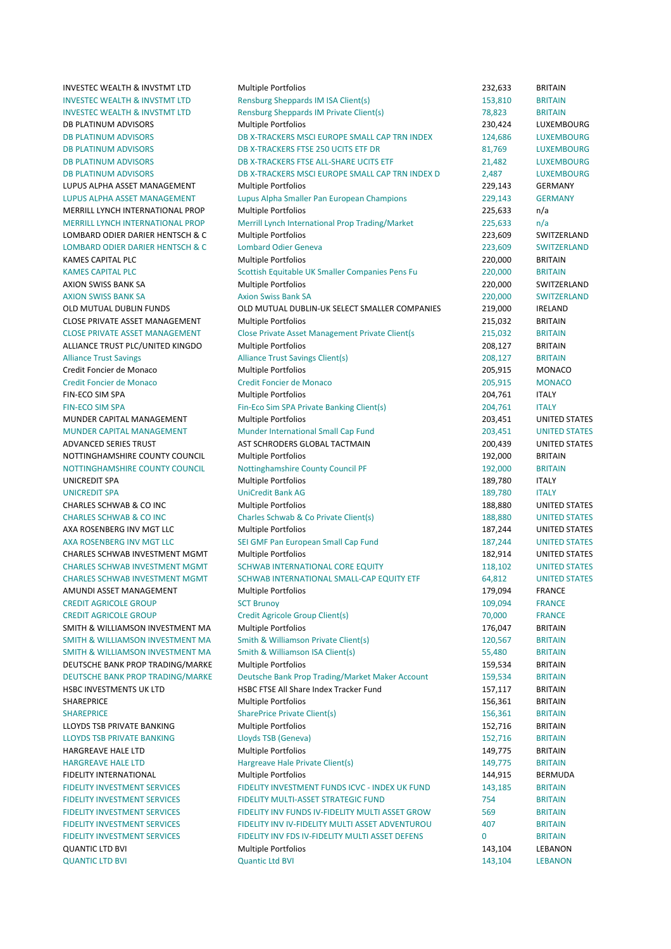INVESTEC WEALTH & INVSTMT LTD Multiple Portfolios and a state of the control of the 232,633 BRITAIN INVESTEC WEALTH & INVSTMT LTD Rensburg Sheppards IM ISA Client(s) 153,810 BRITAIN INVESTEC WEALTH & INVSTMT LTD Rensburg Sheppards IM Private Client(s) 78,823 BRITAIN DB PLATINUM ADVISORS COME Multiple Portfolios COME 230,424 LUXEMBOURG DB PLATINUM ADVISORS CONTRACT THE DB X-TRACKERS MSCLEUROPE SMALL CAP TRN INDEX 124,686 LUXEMBOURG DB PLATINUM ADVISORS **DB X-TRACKERS FTSE 250 UCITS ETF DR** 81.769 LUXEMBOURG DB PLATINUM ADVISORS BERRY BRACKERS FTSE ALL-SHARE UCITS ETF THE RESERVED ON A LUXEMBOURG DB PLATINUM ADVISORS **DB** X-TRACKERS MSCI EUROPE SMALL CAP TRN INDEX D 2.487 LUXEMBOURG LUPUS ALPHA ASSET MANAGEMENT Multiple Portfolios and a management of the 229,143 GERMANY LUPUS ALPHA ASSET MANAGEMENT Lupus Alpha Smaller Pan European Champions 229,143 GERMANY MERRILL LYNCH INTERNATIONAL PROP Multiple Portfolios and a metal of the control of the control of the metal of the control of the control of the control of the control of the control of the control of the control of the co MERRILL LYNCH INTERNATIONAL PROP Merrill Lynch International Prop Trading/Market 225.633 n/a LOMBARD ODIER DARIER HENTSCH & C Multiple Portfolios 223,609 SWITZERLAND LOMBARD ODIER DARIER HENTSCH & C Lombard Odier Geneva 223,609 SWITZERLAND KAMES CAPITAL PLC **Example 2001 CONTROL** Multiple Portfolios **CONTROL 2001 CONTROL** 220,000 BRITAIN KAMES CAPITAL PLC **Solution Companies Pens** Fu 320,000 BRITAIN AXION SWISS BANK SA **Multiple Portfolios** 220,000 SWITZERLAND AXION SWISS BANK SA **BANK SA Axion Swiss Bank SA BANK SA 220,000** SWITZERLAND OLD MUTUAL DUBLIN FUNDS **OLD MUTUAL DUBLIN-UK SELECT SMALLER COMPANIES** 219.000 IRELAND CLOSE PRIVATE ASSET MANAGEMENT Multiple Portfolios and a control of the 215,032 BRITAIN CLOSE PRIVATE ASSET MANAGEMENT Close Private Asset Management Private Client(s 215,032 BRITAIN ALLIANCE TRUST PLC/UNITED KINGDO Multiple Portfolios and the contract of the contract of the BRITAIN Alliance Trust Savings **Alliance Trust Savings Client**(s) **208,127** BRITAIN Credit Foncier de Monaco **Multiple Portfolios** 205,915 MONACO Credit Foncier de Monaco Credit Foncier de Monaco 205,915 MONACO FIN-ECO SIM SPA **Multiple Portfolios** 204,761 ITALY FIN-ECO SIM SPA Fin-Eco Sim SPA Private Banking Client(s) 204,761 ITALY MUNDER CAPITAL MANAGEMENT Multiple Portfolios and the contract of the contract of the contract of the multiple of the contract of the contract of the contract of the contract of the contract of the contract of the contract MUNDER CAPITAL MANAGEMENT Munder International Small Cap Fund 203,451 UNITED STATES ADVANCED SERIES TRUST TRUST TRUST AST SCHRODERS GLOBAL TACTMAIN THE COO, AS A MUNITED STATES NOTTINGHAMSHIRE COUNTY COUNCIL Multiple Portfolios and the country of the Multiple Service of the Multiple Portfolios NOTTINGHAMSHIRE COUNTY COUNCIL Mottinghamshire County Council PF 192,000 BRITAIN UNICREDIT SPA **189,780** ITALY UNICREDIT SPA CHARGEDIT SPA CHARGEDIT SPA CHARGEDIT SPA CHARGEDIT SPA CHARGEDIT SPA CHARGEDIT SPA CHARGEDIT SPA CHARLES SCHWAB & CO INC **Multiple Portfolios** 188,880 UNITED STATES CHARLES SCHWAB & CO INC Charles Schwab & Co Private Client(s) 188,880 UNITED STATES AXA ROSENBERG INV MGT LLC Multiple Portfolios 187,244 UNITED STATES AXA ROSENBERG INV MGT LLC SEI GMF Pan European Small Cap Fund 187,244 UNITED STATES CHARLES SCHWAB INVESTMENT MGMT Multiple Portfolios 182,914 UNITED STATES CHARLES SCHWAB INVESTMENT MGMT SCHWAB INTERNATIONAL CORE EQUITY 118,102 UNITED STATES CHARLES SCHWAB INVESTMENT MGMT SCHWAB INTERNATIONAL SMALL-CAP EQUITY ETF 64.812 UNITED STATES AMUNDI ASSET MANAGEMENT **Multiple Portfolios** and the management of the management of the management of the management of the management of the management of the management of the management of the management of the manage CREDIT AGRICOLE GROUP SCT Brunoy SCT Brunoy SCT BRANCE CREDIT AGRICOLE GROUP 
Credit Agricole Group Client(s)

TO,000

FRANCE SMITH & WILLIAMSON INVESTMENT MA Multiple Portfolios 176,047 BRITAIN SMITH & WILLIAMSON INVESTMENT MA Smith & Williamson Private Client(s) 120,567 BRITAIN SMITH & WILLIAMSON INVESTMENT MA Smith & Williamson ISA Client(s) 55,480 BRITAIN DEUTSCHE BANK PROP TRADING/MARKE Multiple Portfolios and the state of the state of the BRITAIN DEUTSCHE BANK PROP TRADING/MARKE Deutsche Bank Prop Trading/Market Maker Account 159,534 BRITAIN HSBC INVESTMENTS UK LTD **HSBC FTSE All Share Index Tracker Fund** 157,117 BRITAIN SHAREPRICE **156,361** BRITAIN Multiple Portfolios 156,361 BRITAIN SHAREPRICE SharePrice Private Client(s) 156,361 BRITAIN LLOYDS TSB PRIVATE BANKING **Multiple Portfolios** 152,716 BRITAIN LLOYDS TSB PRIVATE BANKING LOVES TSB (Geneva) 152,716 BRITAIN HARGREAVE 
 HALE 
 LTD Multiple 
 Portfolios 149,775 BRITAIN HARGREAVE HALE LTD **Hargreave Hale Private Client(s)** 149,775 BRITAIN FIDELITY INTERNATIONAL **Multiple Portfolios** 144,915 BERMUDA FIDELITY INVESTMENT SERVICES FIDELITY INVESTMENT FUNDS ICVC - INDEX UK FUND THAS 143.185 BRITAIN FIDELITY INVESTMENT SERVICES FIDELITY MULTI-ASSET STRATEGIC FUND 754 BRITAIN FIDELITY INVESTMENT SERVICES FIDELITY INV FUNDS IV-FIDELITY MULTI ASSET GROW 569 BRITAIN FIDELITY INVESTMENT SERVICES FIDELITY INVIV-FIDELITY MULTI ASSET ADVENTUROU 407 RRITAIN FIDELITY INVESTMENT SERVICES FIDELITY INV EDS IV-FIDELITY MULTI ASSET DEFENS 0 BRITAIN OUANTIC LTD BVI CHARON CONTROLLED Multiple Portfolios CHARON CONTROLLED AND LEBANON QUANTIC LTD BVI 143,104 LEBANON CONTROLLED AND CONTROLLED AND CONTROLLED AND QUANTIC LTD BVI 143,104 LEBANON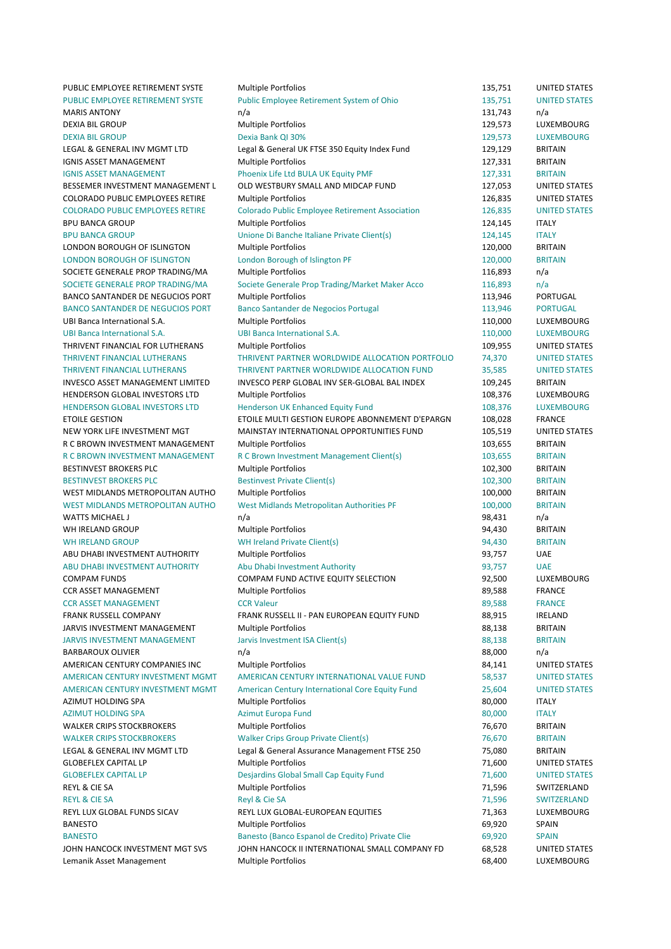PUBLIC EMPLOYEE RETIREMENT SYSTE Multiple Portfolios 135,751 UNITED STATES PUBLIC EMPLOYEE RETIREMENT SYSTE Public Employee Retirement System of Ohio 135,751 UNITED STATES MARIS 
 ANTONY n/a 131,743 n/a DEXIA BIL GROUP **Support Accord Controllering Controllering** Multiple Portfolios **129,573** LUXEMBOURG DEXIA 
 BIL 
 GROUP Dexia 
 Bank 
 QI 
 30% 129,573 LUXEMBOURG LEGAL & GENERAL INV MGMT LTD Legal & General UK FTSE 350 Equity Index Fund 129,129 BRITAIN IGNIS ASSET MANAGEMENT **Multiple Portfolios** 127,331 BRITAIN IGNIS ASSET MANAGEMENT Phoenix Life Ltd BULA UK Equity PMF 127,331 BRITAIN BESSEMER INVESTMENT MANAGEMENT L OLD WESTBURY SMALL AND MIDCAP FUND 127,053 UNITED STATES COLORADO PUBLIC EMPLOYEES RETIRE Multiple Portfolios 126,835 UNITED STATES COLORADO PUBLIC EMPLOYEES RETIRE Colorado Public Employee Retirement Association 126,835 UNITED STATES BPU 
 BANCA 
 GROUP Multiple 
 Portfolios 124,145 ITALY BPU BANCA GROUP 
Unione Di Banche Italiane Private Client(s) 
124,145 
ITALY LONDON BOROUGH OF ISLINGTON Multiple Portfolios and the state of the state of the state of the Multiple Portfolios and the state of the state of the state of the state of the state of the state of the state of the state of LONDON BOROUGH OF ISLINGTON London Borough of Islington PF 120,000 BRITAIN SOCIETE GENERALE PROP TRADING/MA Multiple Portfolios 116,893 n/a SOCIETE GENERALE PROP TRADING/MA Societe Generale Prop Trading/Market Maker Acco 116,893 n/a BANCO SANTANDER DE NEGUCIOS PORT Multiple Portfolios and a series of the multiple of the series of the series of the series of the series of the series of the series of the series of the series of the series of the series BANCO SANTANDER DE NEGUCIOS PORT Banco Santander de Negocios Portugal 113,946 PORTUGAL UBI 
 Banca 
 International 
 S.A. Multiple 
 Portfolios 110,000 LUXEMBOURG UBI 
 Banca 
 International 
 S.A. UBI 
 Banca 
 International 
 S.A. 110,000 LUXEMBOURG THRIVENT FINANCIAL FOR LUTHERANS Multiple Portfolios 109,955 UNITED STATES THRIVENT FINANCIAL LUTHERANS THRIVENT PARTNER WORLDWIDE ALLOCATION PORTFOLIO 74,370 UNITED STATES THRIVENT FINANCIAL LUTHERANS THRIVENT PARTNER WORLDWIDE ALLOCATION FUND 35,585 UNITED STATES INVESCO ASSET MANAGEMENT LIMITED INVESCO PERP GLOBAL INV SER-GLOBAL BAL INDEX 109,245 BRITAIN HENDERSON GLOBAL INVESTORS LTD Multiple Portfolios 108,376 LUXEMBOURG HENDERSON GLOBAL INVESTORS LTD Henderson UK Enhanced Equity Fund 108,376 LUXEMBOURG ETOILE GESTION 
ETOILE MULTI GESTION EUROPE ABONNEMENT D'EPARGN 
108,028 FRANCE NEW YORK LIFE INVESTMENT MGT **MAINSTAY INTERNATIONAL OPPORTUNITIES FUND** 105.519 UNITED STATES R C BROWN INVESTMENT MANAGEMENT Multiple Portfolios and the control of the control of the control of the BRITAIN R C BROWN INVESTMENT MANAGEMENT R C Brown Investment Management Client(s) 103,655 BRITAIN BESTINVEST BROKERS PLC **Multiple Portfolios 102,300** BRITAIN BESTINVEST BROKERS PLC **BESTING BESTING BESTING BRITAIN** BESTING BRITAIN WEST MIDLANDS METROPOLITAN AUTHO Multiple Portfolios and the matter of the multiple of the matter of the multiple portfolios and the multiple portfolios and the multiple portfolios and the multiple portfolios and the multi WEST MIDLANDS METROPOLITAN AUTHO West Midlands Metropolitan Authorities PF 100,000 BRITAIN WATTS MICHAEL JUNIES AND RESERVE TO A MATTER OF THE SERVER OF THE SERVER OF THE SERVER OF THE SERVER OF THE SERVER OF THE SERVER OF THE SERVER OF THE SERVER OF THE SERVER OF THE SERVER OF THE SERVER OF THE SERVER OF THE SE WHIRFIAND GROUP CHARGED Multiple Portfolios CHARGED 194.430 BRITAIN WH IRELAND GROUP **Supply and SET ALL SET ASSESSED WH** Ireland Private Client(s) **94,430** BRITAIN ABU DHABI INVESTMENT AUTHORITY Multiple Portfolios and the control of the matter of the MAE ABU DHABI INVESTMENT AUTHORITY Abu Dhabi Investment Authority 193,757 UAE COMPAM FUNDS COMPAM FUND ACTIVE EQUITY SELECTION 52.500 LUXEMBOURG CCR 
 ASSET 
 MANAGEMENT Multiple 
 Portfolios 89,588 FRANCE CCR ASSET MANAGEMENT CCR Valeur CCR Valeur CCR SOLUTION 89,588 FRANCE FRANK RUSSELL COMPANY **FRANK RUSSELL II - PAN EUROPEAN EQUITY FUND** 88,915 IRELAND JARVIS INVESTMENT MANAGEMENT Multiple Portfolios and the state of the state of the state of the state of the state of the state of the state of the state of the state of the state of the state of the state of the state of JARVIS INVESTMENT MANAGEMENT Jarvis Investment ISA Client(s) 88,138 BRITAIN BARBAROUX OUVIER  $n/a$ AMERICAN CENTURY COMPANIES INC Multiple Portfolios and the states of the states and the UNITED STATES AMERICAN CENTURY INVESTMENT MGMT AMERICAN CENTURY INTERNATIONAL VALUE FUND 58,537 UNITED STATES AMERICAN CENTURY INVESTMENT MGMT American Century International Core Equity Fund 25,604 UNITED STATES AZIMUT HOLDING SPA **Multiple Portfolios** and the set of the set of the set of the set of the set of the set of t AZIMUT HOLDING SPA **Azimut Europa Fund CONTACT CONTACT ALL ALGO CONTACT AND AZIMUT** HOLDING SPA **ALGO CONTACT A** WALKER CRIPS STOCKBROKERS Multiple Portfolios and the method of the method of the Multiple Portfolios and the method of the method of the method of the method of the method of the method of the method of the method of the WALKER CRIPS STOCKBROKERS Walker Crips Group Private Client(s) 76,670 BRITAIN LEGAL & GENERAL INV MGMT LTD Legal & General Assurance Management FTSE 250 75,080 BRITAIN GLOBEFLEX CAPITAL LP **Multiple Portfolios 1.600** UNITED STATES GLOBEFLEX CAPITAL LP **STATES** Desjardins Global Small Cap Equity Fund 71,600 UNITED STATES REYL & CIE SA GUILLEAD CONTROLLEY CONTROLLEY Multiple Portfolios CONTROLLEY CONTROLLER SWITZERLAND REYL 
 & 
 CIE 
 SA Reyl 
 & 
 Cie 
 SA 71,596 SWITZERLAND REYL 
 LUX 
 GLOBAL 
 FUNDS 
 SICAV REYL 
 LUX 
 GLOBAL-‐EUROPEAN 
 EQUITIES 71,363 LUXEMBOURG BANESTO Multiple 
 Portfolios 69,920 SPAIN BANESTO **Banesto (Banco Espanol de Credito)** Private Clie 69.920 SPAIN JOHN HANCOCK INVESTMENT MGT SVS JOHN HANCOCK II INTERNATIONAL SMALL COMPANY FD 68,528 UNITED STATES Lemanik Asset Management **Multiple Portfolios Community Community** 68,400 LUXEMBOURG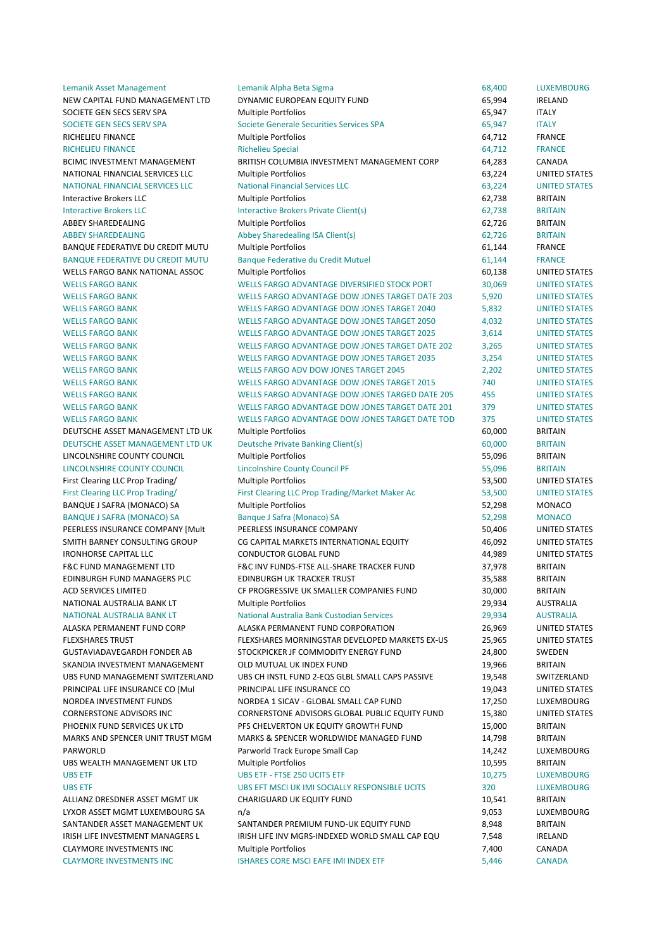| LEIHAHIN MOOCLIVIAHAKEHICHU             | LEIHAHIN MIDHA DELA JIRHIA                             | <b>00,400</b> | LUALIVIDUUNU         |
|-----------------------------------------|--------------------------------------------------------|---------------|----------------------|
| NEW CAPITAL FUND MANAGEMENT LTD         | DYNAMIC EUROPEAN EQUITY FUND                           | 65,994        | <b>IRELAND</b>       |
| SOCIETE GEN SECS SERV SPA               | Multiple Portfolios                                    | 65,947        | <b>ITALY</b>         |
| SOCIETE GEN SECS SERV SPA               | Societe Generale Securities Services SPA               | 65,947        | <b>ITALY</b>         |
| RICHELIEU FINANCE                       | <b>Multiple Portfolios</b>                             | 64,712        | <b>FRANCE</b>        |
| <b>RICHELIEU FINANCE</b>                | <b>Richelieu Special</b>                               | 64,712        | <b>FRANCE</b>        |
| BCIMC INVESTMENT MANAGEMENT             | BRITISH COLUMBIA INVESTMENT MANAGEMENT CORP            | 64,283        | CANADA               |
| NATIONAL FINANCIAL SERVICES LLC         | <b>Multiple Portfolios</b>                             | 63,224        | <b>UNITED STATES</b> |
| NATIONAL FINANCIAL SERVICES LLC         | <b>National Financial Services LLC</b>                 | 63,224        | <b>UNITED STATES</b> |
| Interactive Brokers LLC                 | Multiple Portfolios                                    | 62,738        | <b>BRITAIN</b>       |
| <b>Interactive Brokers LLC</b>          | <b>Interactive Brokers Private Client(s)</b>           | 62,738        | <b>BRITAIN</b>       |
| <b>ABBEY SHAREDEALING</b>               | <b>Multiple Portfolios</b>                             | 62,726        | <b>BRITAIN</b>       |
| <b>ABBEY SHAREDEALING</b>               | Abbey Sharedealing ISA Client(s)                       | 62,726        | <b>BRITAIN</b>       |
| <b>BANQUE FEDERATIVE DU CREDIT MUTU</b> | <b>Multiple Portfolios</b>                             | 61,144        | <b>FRANCE</b>        |
| <b>BANQUE FEDERATIVE DU CREDIT MUTU</b> | <b>Banque Federative du Credit Mutuel</b>              | 61,144        | <b>FRANCE</b>        |
| <b>WELLS FARGO BANK NATIONAL ASSOC</b>  | <b>Multiple Portfolios</b>                             | 60,138        | UNITED STATES        |
| <b>WELLS FARGO BANK</b>                 | WELLS FARGO ADVANTAGE DIVERSIFIED STOCK PORT           | 30,069        | <b>UNITED STATES</b> |
| <b>WELLS FARGO BANK</b>                 | WELLS FARGO ADVANTAGE DOW JONES TARGET DATE 203        | 5,920         | <b>UNITED STATES</b> |
| <b>WELLS FARGO BANK</b>                 | <b>WELLS FARGO ADVANTAGE DOW JONES TARGET 2040</b>     | 5,832         | <b>UNITED STATES</b> |
| <b>WELLS FARGO BANK</b>                 | WELLS FARGO ADVANTAGE DOW JONES TARGET 2050            | 4,032         | <b>UNITED STATES</b> |
| <b>WELLS FARGO BANK</b>                 | <b>WELLS FARGO ADVANTAGE DOW JONES TARGET 2025</b>     | 3,614         | <b>UNITED STATES</b> |
| <b>WELLS FARGO BANK</b>                 | WELLS FARGO ADVANTAGE DOW JONES TARGET DATE 202        | 3,265         | <b>UNITED STATES</b> |
| <b>WELLS FARGO BANK</b>                 | <b>WELLS FARGO ADVANTAGE DOW JONES TARGET 2035</b>     | 3,254         | <b>UNITED STATES</b> |
| <b>WELLS FARGO BANK</b>                 | <b>WELLS FARGO ADV DOW JONES TARGET 2045</b>           | 2,202         | <b>UNITED STATES</b> |
| <b>WELLS FARGO BANK</b>                 | <b>WELLS FARGO ADVANTAGE DOW JONES TARGET 2015</b>     | 740           | <b>UNITED STATES</b> |
| <b>WELLS FARGO BANK</b>                 | WELLS FARGO ADVANTAGE DOW JONES TARGED DATE 205        | 455           | <b>UNITED STATES</b> |
| <b>WELLS FARGO BANK</b>                 | <b>WELLS FARGO ADVANTAGE DOW JONES TARGET DATE 201</b> | 379           | <b>UNITED STATES</b> |
| <b>WELLS FARGO BANK</b>                 | WELLS FARGO ADVANTAGE DOW JONES TARGET DATE TOD        | 375           | <b>UNITED STATES</b> |
| DEUTSCHE ASSET MANAGEMENT LTD UK        | Multiple Portfolios                                    | 60,000        | <b>BRITAIN</b>       |
| DEUTSCHE ASSET MANAGEMENT LTD UK        | <b>Deutsche Private Banking Client(s)</b>              | 60,000        | <b>BRITAIN</b>       |
| LINCOLNSHIRE COUNTY COUNCIL             | <b>Multiple Portfolios</b>                             | 55,096        | <b>BRITAIN</b>       |
| LINCOLNSHIRE COUNTY COUNCIL             | <b>Lincolnshire County Council PF</b>                  | 55,096        | <b>BRITAIN</b>       |
| First Clearing LLC Prop Trading/        | <b>Multiple Portfolios</b>                             | 53,500        | UNITED STATES        |
| First Clearing LLC Prop Trading/        | First Clearing LLC Prop Trading/Market Maker Ac        | 53,500        | <b>UNITED STATES</b> |
| BANQUE J SAFRA (MONACO) SA              | <b>Multiple Portfolios</b>                             | 52,298        | <b>MONACO</b>        |
| <b>BANQUE J SAFRA (MONACO) SA</b>       | Banque J Safra (Monaco) SA                             | 52,298        | <b>MONACO</b>        |
| PEERLESS INSURANCE COMPANY [Mult        | PEERLESS INSURANCE COMPANY                             | 50,406        | UNITED STATES        |
| SMITH BARNEY CONSULTING GROUP           | CG CAPITAL MARKETS INTERNATIONAL EQUITY                | 46,092        | <b>UNITED STATES</b> |
| <b>IRONHORSE CAPITAL LLC</b>            | <b>CONDUCTOR GLOBAL FUND</b>                           | 44,989        | <b>UNITED STATES</b> |
| <b>F&amp;C FUND MANAGEMENT LTD</b>      | F&C INV FUNDS-FTSE ALL-SHARE TRACKER FUND              | 37,978        | <b>BRITAIN</b>       |
| EDINBURGH FUND MANAGERS PLC             | <b>EDINBURGH UK TRACKER TRUST</b>                      | 35,588        | <b>BRITAIN</b>       |
| ACD SERVICES LIMITED                    | CF PROGRESSIVE UK SMALLER COMPANIES FUND               | 30,000        | <b>BRITAIN</b>       |
| NATIONAL AUSTRALIA BANK LT              | <b>Multiple Portfolios</b>                             | 29,934        | AUSTRALIA            |
| NATIONAL AUSTRALIA BANK LT              | National Australia Bank Custodian Services             | 29,934        | <b>AUSTRALIA</b>     |
| ALASKA PERMANENT FUND CORP              | ALASKA PERMANENT FUND CORPORATION                      | 26,969        | UNITED STATES        |
| <b>FLEXSHARES TRUST</b>                 | FLEXSHARES MORNINGSTAR DEVELOPED MARKETS EX-US         | 25,965        | <b>UNITED STATES</b> |
| <b>GUSTAVIADAVEGARDH FONDER AB</b>      | STOCKPICKER JF COMMODITY ENERGY FUND                   | 24,800        | SWEDEN               |
| SKANDIA INVESTMENT MANAGEMENT           | OLD MUTUAL UK INDEX FUND                               | 19,966        | <b>BRITAIN</b>       |
| UBS FUND MANAGEMENT SWITZERLAND         | UBS CH INSTL FUND 2-EQS GLBL SMALL CAPS PASSIVE        | 19,548        | SWITZERLAND          |
| PRINCIPAL LIFE INSURANCE CO [Mul        | PRINCIPAL LIFE INSURANCE CO                            | 19,043        | UNITED STATES        |
| NORDEA INVESTMENT FUNDS                 | NORDEA 1 SICAV - GLOBAL SMALL CAP FUND                 | 17,250        | LUXEMBOURG           |
| <b>CORNERSTONE ADVISORS INC</b>         | CORNERSTONE ADVISORS GLOBAL PUBLIC EQUITY FUND         | 15,380        | <b>UNITED STATES</b> |
| PHOENIX FUND SERVICES UK LTD            | PFS CHELVERTON UK EQUITY GROWTH FUND                   | 15,000        | <b>BRITAIN</b>       |
| MARKS AND SPENCER UNIT TRUST MGM        | MARKS & SPENCER WORLDWIDE MANAGED FUND                 | 14,798        | <b>BRITAIN</b>       |
| PARWORLD                                | Parworld Track Europe Small Cap                        | 14,242        | LUXEMBOURG           |
| UBS WEALTH MANAGEMENT UK LTD            | Multiple Portfolios                                    | 10,595        | <b>BRITAIN</b>       |
| <b>UBS ETF</b>                          | <b>UBS ETF - FTSE 250 UCITS ETF</b>                    | 10,275        | LUXEMBOURG           |
| <b>UBS ETF</b>                          | UBS EFT MSCI UK IMI SOCIALLY RESPONSIBLE UCITS         | 320           | <b>LUXEMBOURG</b>    |
| ALLIANZ DRESDNER ASSET MGMT UK          | CHARIGUARD UK EQUITY FUND                              | 10,541        | <b>BRITAIN</b>       |
| LYXOR ASSET MGMT LUXEMBOURG SA          | n/a                                                    | 9,053         | LUXEMBOURG           |
| SANTANDER ASSET MANAGEMENT UK           | SANTANDER PREMIUM FUND-UK EQUITY FUND                  | 8,948         | <b>BRITAIN</b>       |
| IRISH LIFE INVESTMENT MANAGERS L        | IRISH LIFE INV MGRS-INDEXED WORLD SMALL CAP EQU        | 7,548         | IRELAND              |
| <b>CLAYMORE INVESTMENTS INC</b>         | <b>Multiple Portfolios</b>                             | 7,400         | CANADA               |

CLAYMORE INVESTMENTS INC **INVESTMENTS** INC **INCORE SECURE IN INDEX ETF** 5,446 CANADA

| 3,400          | <b>LUXEMBOURG</b>              |
|----------------|--------------------------------|
| 5,994          | IRELAND                        |
| 5,947          | <b>ITALY</b>                   |
| 5,947          | <b>ITALY</b>                   |
| 1,712          | FRANCE                         |
| 4,712          | <b>FRANCE</b>                  |
| 1,283          | CANADA                         |
| 3,224          | UNITED STATES                  |
| 3,224          | <b>UNITED STATES</b>           |
| 2,738          | <b>BRITAIN</b>                 |
| 2,738          | <b>BRITAIN</b>                 |
| 2,726          | <b>BRITAIN</b>                 |
| 2,726          | <b>BRITAIN</b>                 |
| l,144          | <b>FRANCE</b>                  |
| 1,144          | <b>FRANCE</b>                  |
| ),138          | UNITED STATES                  |
| 0,069          | <b>UNITED STATES</b>           |
| 920            | <b>UNITED STATES</b>           |
| 832            | <b>UNITED STATES</b>           |
| 032            | <b>UNITED STATES</b>           |
| 614            | <b>UNITED STATES</b>           |
| 265            | <b>UNITED STATES</b>           |
| 254            | <b>UNITED STATES</b>           |
| 202            | <b>UNITED STATES</b>           |
| 10             | <b>UNITED STATES</b>           |
| 55             | <b>UNITED STATES</b>           |
| 79             | <b>UNITED STATES</b>           |
| 75             | <b>UNITED STATES</b>           |
| 0,000          | <b>BRITAIN</b>                 |
| 0,000          | <b>BRITAIN</b>                 |
| 5,096          | <b>BRITAIN</b>                 |
| 5,096          | <b>BRITAIN</b>                 |
| 3,500          | UNITED STATES                  |
| 3,500          | <b>UNITED STATES</b>           |
| 2,298          | MONACO                         |
| 2,298          | <b>MONACO</b>                  |
| ),406          | UNITED STATES                  |
| 5,092          | UNITED STATES                  |
| 1,989          | UNITED STATES                  |
| 7,978          | <b>BRITAIN</b>                 |
| 5,588          | <b>BRITAIN</b>                 |
| 0,000          | BRITAIN                        |
| 9,934          | AUSTRALIA                      |
| 9,934          | <b>AUSTRALIA</b>               |
| 5,969          | UNITED STATES<br>UNITED STATES |
| 5,965<br>1,800 | SWEDEN                         |
| 9,966          | BRITAIN                        |
| 9,548          | SWITZERLAND                    |
| 9,043          | UNITED STATES                  |
| 7,250          | LUXEMBOURG                     |
| 5,380          | <b>UNITED STATES</b>           |
| 5,000          | <b>BRITAIN</b>                 |
| 1,798          | BRITAIN                        |
| 1,242          | LUXEMBOURG                     |
| 0,595          | BRITAIN                        |
| ),275          | LUXEMBOURG                     |
| 20             | <b>LUXEMBOURG</b>              |
| ),541          | <b>BRITAIN</b>                 |
| 053            | LUXEMBOURG                     |
| 948            | <b>BRITAIN</b>                 |
| 548            | IRELAND                        |
|                |                                |
| 400            | CANADA                         |